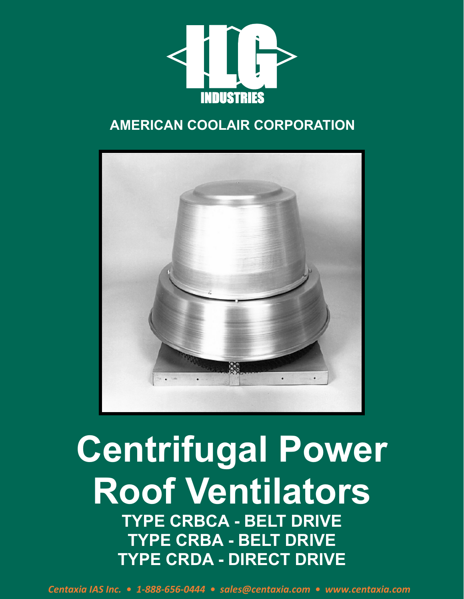

## **AMERICAN COOLAIR CORPORATION**



# **Centrifugal Power Roof Ventilators TYPE CRBCA - BELT DRIVE TYPE CRBA - BELT DRIVE TYPE CRDA - DIRECT DRIVE**

*Centaxia IAS Inc. • 1-888-656-0444 • sales@centaxia.com • www.centaxia.com*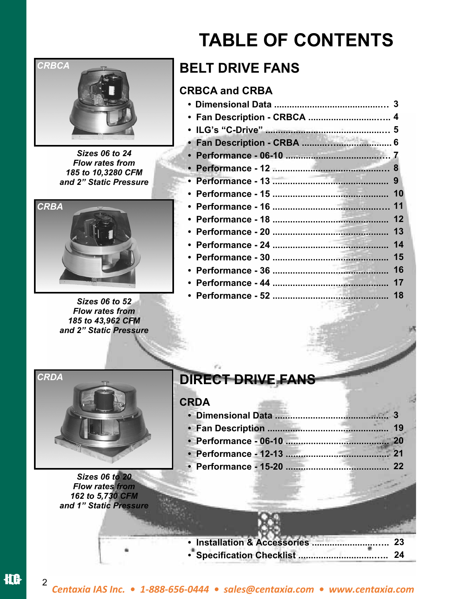

*Sizes 06 to 24 Flow rates from 185 to 10,3280 CFM and 2" Static Pressure* 



 $Sizes 06 to 52$ *Flow rates from 185 to 43,962 CFM and 2" Static Pressure* 

# **TABLE OF CONTENTS**

## **BELT DRIVE FANS**

## **CRBCA and CRBA**

| • Fan Description - CRBCA  4 |     |
|------------------------------|-----|
|                              |     |
|                              |     |
|                              |     |
|                              |     |
|                              | 9   |
|                              |     |
|                              |     |
|                              | 12  |
|                              | 13  |
|                              | 14  |
|                              | 15  |
|                              | -16 |
|                              |     |
|                              | 18  |
|                              |     |



*Sizes 06 to 20 Flow rates from 162 to 5,730 CFM and 1" Static Pressure* 

## **DIRECT DRIVE FANS**

## **CRDA**

| 19 |
|----|
|    |
|    |
|    |

**• Installation & Accessories .........................….. • Specification Checklist ..............................….. 24 23**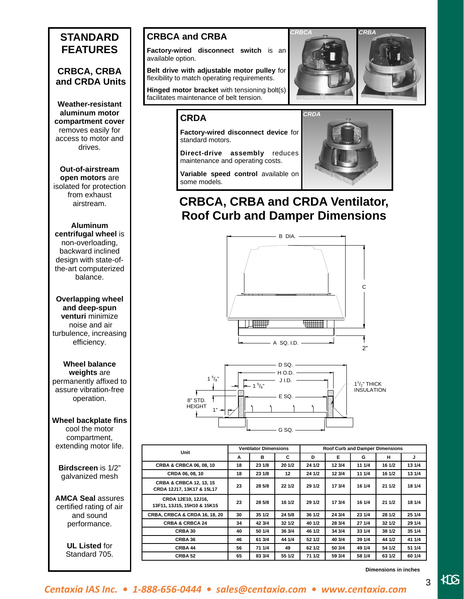## **STANDARD FEATURES**

## **CRBCA, CRBA and CRDA Units**

 **Weather-resistant aluminum motor compartment cover**  removes easily for access to motor and drives.

## **Out-of-airstream**

**open motors** are isolated for protection from exhaust airstream.

## **Aluminum**

**centrifugal wheel** is non-overloading, backward inclined design with state-ofthe-art computerized balance.

**Overlapping wheel and deep-spun venturi** minimize noise and air turbulence, increasing efficiency.

### **Wheel balance weights** are permanently affixed to assure vibration-free operation.

### **Wheel backplate fins**  cool the motor compartment, extending motor life.

### **Birdscreen** is 1/2" galvanized mesh

**AMCA Seal** assures certified rating of air and sound performance.

> **UL Listed** for Standard 705.

## **CRBCA and CRBA**

**Factory-wired disconnect switch** is an available option.

**Belt drive with adjustable motor pulley** for flexibility to match operating requirements.

**Hinged motor bracket** with tensioning bolt(s) facilitates maintenance of belt tension.

## **CRDA**

**Factory-wired disconnect device** for standard motors.

**Direct-drive assembly** reduces maintenance and operating costs.



*CRBCA CRBA* 





**Variable speed control** available on some models.

## **CRBCA, CRBA and CRDA Ventilator, Roof Curb and Damper Dimensions**





| Unit                                                            |    | <b>Ventilator Dimensions</b> |        |        | Roof Curb and Damper Dimensions |        |        |        |
|-----------------------------------------------------------------|----|------------------------------|--------|--------|---------------------------------|--------|--------|--------|
|                                                                 | A  | в                            | C      | D      | Е                               | G      | н      | J      |
| CRBA & CRBCA 06, 08, 10                                         | 18 | 23 1/8                       | 20 1/2 | 24 1/2 | 12 3/4                          | 11 1/4 | 16 1/2 | 13 1/4 |
| CRDA 06, 08, 10                                                 | 18 | 23 1/8                       | 12     | 24 1/2 | 12 3/4                          | 11 1/4 | 16 1/2 | 13 1/4 |
| <b>CRBA &amp; CRBCA 12, 13, 15</b><br>CRDA 12J17, 13K17 & 15L17 | 23 | 28 5/8                       | 22 1/2 | 29 1/2 | 17 3/4                          | 16 1/4 | 21 1/2 | 18 1/4 |
| CRDA 12E10, 12J16,<br>13F11, 13J15, 15H10 & 15K15               | 23 | 28 5/8                       | 16 1/2 | 29 1/2 | 17 3/4                          | 16 1/4 | 21 1/2 | 18 1/4 |
| <b>CRBA, CRBCA &amp; CRDA 16, 18, 20</b>                        | 30 | 35 1/2                       | 24 5/8 | 36 1/2 | 24 3/4                          | 23 1/4 | 28 1/2 | 25 1/4 |
| <b>CRBA &amp; CRBCA 24</b>                                      | 34 | 42 3/4                       | 32 1/2 | 40 1/2 | 28 3/4                          | 27 1/4 | 32 1/2 | 29 1/4 |
| CRBA 30                                                         | 40 | 50 1/4                       | 36 3/4 | 46 1/2 | 34 3/4                          | 33 1/4 | 38 1/2 | 35 1/4 |
| CRBA 36                                                         | 46 | 61 3/4                       | 44 1/4 | 52 1/2 | 40 3/4                          | 39 1/4 | 44 1/2 | 41 1/4 |
| CRBA 44                                                         | 56 | 71 1/4                       | 49     | 62 1/2 | 50 3/4                          | 49 1/4 | 54 1/2 | 51 1/4 |
| CRBA <sub>52</sub>                                              | 65 | 83 3/4                       | 55 1/2 | 71 1/2 | 59 3/4                          | 58 1/4 | 63 1/2 | 60 1/4 |

**Dimensions in inches** 

3

## *Centaxia IAS Inc. • 1-888-656-0444 • sales@centaxia.com • www.centaxia.com*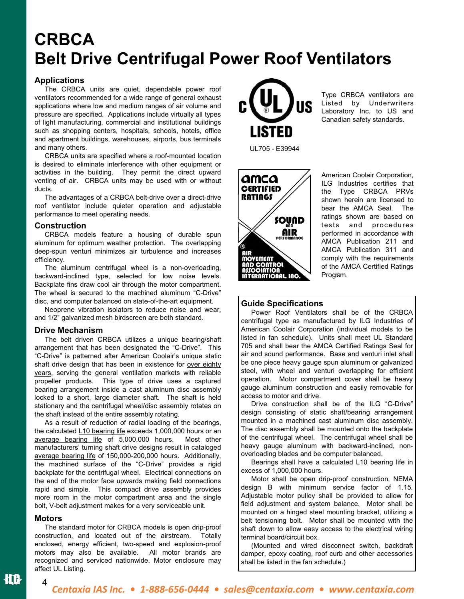## **CRBCA Belt Drive Centrifugal Power Roof Ventilators**

## **Applications**

 The CRBCA units are quiet, dependable power roof ventilators recommended for a wide range of general exhaust applications where low and medium ranges of air volume and pressure are specified. Applications include virtually all types of light manufacturing, commercial and institutional buildings such as shopping centers, hospitals, schools, hotels, office and apartment buildings, warehouses, airports, bus terminals and many others.

 CRBCA units are specified where a roof-mounted location is desired to eliminate interference with other equipment or activities in the building. They permit the direct upward venting of air. CRBCA units may be used with or without ducts.

 The advantages of a CRBCA belt-drive over a direct-drive roof ventilator include quieter operation and adjustable performance to meet operating needs.

### **Construction**

 CRBCA models feature a housing of durable spun aluminum for optimum weather protection. The overlapping deep-spun venturi minimizes air turbulence and increases efficiency.

 The aluminum centrifugal wheel is a non-overloading, backward-inclined type, selected for low noise levels. Backplate fins draw cool air through the motor compartment. The wheel is secured to the machined aluminum "C-Drive" disc, and computer balanced on state-of-the-art equipment.

 Neoprene vibration isolators to reduce noise and wear, and 1/2" galvanized mesh birdscreen are both standard.

### **Drive Mechanism**

 The belt driven CRBCA utilizes a unique bearing/shaft arrangement that has been designated the "C-Drive". This "C-Drive" is patterned after American Coolair's unique static shaft drive design that has been in existence for over eighty years, serving the general ventilation markets with reliable propeller products. This type of drive uses a captured bearing arrangement inside a cast aluminum disc assembly locked to a short, large diameter shaft. The shaft is held stationary and the centrifugal wheel/disc assembly rotates on the shaft instead of the entire assembly rotating.

 As a result of reduction of radial loading of the bearings, the calculated L10 bearing life exceeds 1,000,000 hours or an average bearing life of 5,000,000 hours. Most other manufacturers' turning shaft drive designs result in cataloged average bearing life of 150,000-200,000 hours. Additionally, the machined surface of the "C-Drive" provides a rigid backplate for the centrifugal wheel. Electrical connections on the end of the motor face upwards making field connections rapid and simple. This compact drive assembly provides more room in the motor compartment area and the single bolt, V-belt adjustment makes for a very serviceable unit.

### **Motors**

4

 The standard motor for CRBCA models is open drip-proof construction, and located out of the airstream. Totally enclosed, energy efficient, two-speed and explosion-proof motors may also be available. All motor brands are recognized and serviced nationwide. Motor enclosure may affect UL Listing.



Type CRBCA ventilators are Listed by Underwriters Laboratory Inc. to US and Canadian safety standards.



American Coolair Corporation, ILG Industries certifies that the Type CRBCA PRVs shown herein are licensed to bear the AMCA Seal. The ratings shown are based on tests and procedures performed in accordance with AMCA Publication 211 and AMCA Publication 311 and comply with the requirements of the AMCA Certified Ratings Program.

### **Guide Specifications**

Power Roof Ventilators shall be of the CRBCA centrifugal type as manufactured by ILG Industries of American Coolair Corporation (individual models to be listed in fan schedule). Units shall meet UL Standard 705 and shall bear the AMCA Certified Ratings Seal for air and sound performance. Base and venturi inlet shall be one piece heavy gauge spun aluminum or galvanized steel, with wheel and venturi overlapping for efficient operation. Motor compartment cover shall be heavy gauge aluminum construction and easily removable for access to motor and drive.

 Drive construction shall be of the ILG "C-Drive" design consisting of static shaft/bearing arrangement mounted in a machined cast aluminum disc assembly. The disc assembly shall be mounted onto the backplate of the centrifugal wheel. The centrifugal wheel shall be heavy gauge aluminum with backward-inclined, nonoverloading blades and be computer balanced.

 Bearings shall have a calculated L10 bearing life in excess of 1,000,000 hours.

 Motor shall be open drip-proof construction, NEMA design B with minimum service factor of 1.15. Adjustable motor pulley shall be provided to allow for field adjustment and system balance. Motor shall be mounted on a hinged steel mounting bracket, utilizing a belt tensioning bolt. Motor shall be mounted with the shaft down to allow easy access to the electrical wiring terminal board/circuit box.

 (Mounted and wired disconnect switch, backdraft damper, epoxy coating, roof curb and other accessories shall be listed in the fan schedule.)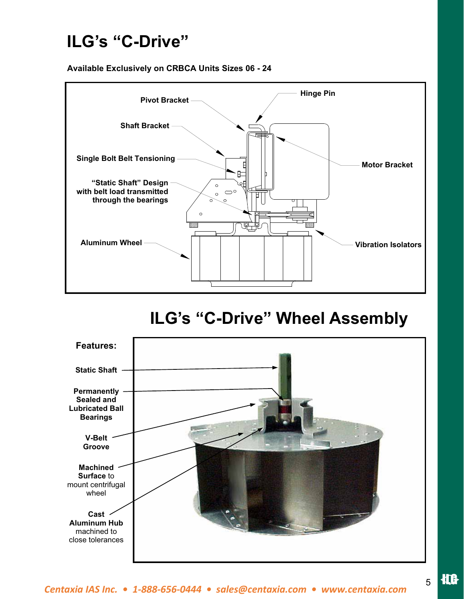## **ILG's "C-Drive"**

**Available Exclusively on CRBCA Units Sizes 06 - 24**



## **ILG's "C-Drive" Wheel Assembly**



5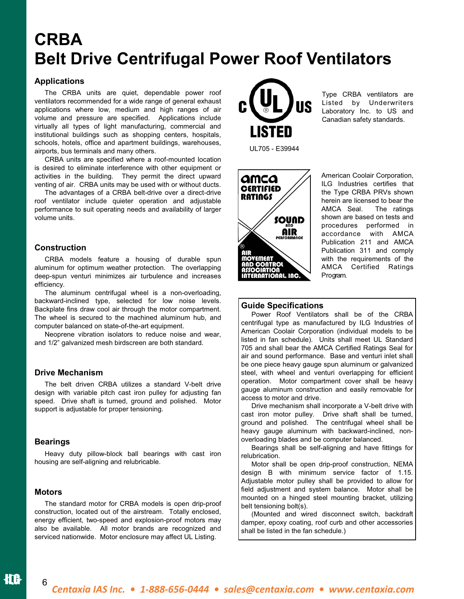## **CRBA Belt Drive Centrifugal Power Roof Ventilators**

## **Applications**

 The CRBA units are quiet, dependable power roof ventilators recommended for a wide range of general exhaust applications where low, medium and high ranges of air volume and pressure are specified. Applications include virtually all types of light manufacturing, commercial and institutional buildings such as shopping centers, hospitals, schools, hotels, office and apartment buildings, warehouses, airports, bus terminals and many others.

 CRBA units are specified where a roof-mounted location is desired to eliminate interference with other equipment or activities in the building. They permit the direct upward venting of air. CRBA units may be used with or without ducts.

 The advantages of a CRBA belt-drive over a direct-drive roof ventilator include quieter operation and adjustable performance to suit operating needs and availability of larger volume units.

### **Construction**

 CRBA models feature a housing of durable spun aluminum for optimum weather protection. The overlapping deep-spun venturi minimizes air turbulence and increases efficiency.

 The aluminum centrifugal wheel is a non-overloading, backward-inclined type, selected for low noise levels. Backplate fins draw cool air through the motor compartment. The wheel is secured to the machined aluminum hub, and computer balanced on state-of-the-art equipment.

 Neoprene vibration isolators to reduce noise and wear, and 1/2" galvanized mesh birdscreen are both standard.

### **Drive Mechanism**

 The belt driven CRBA utilizes a standard V-belt drive design with variable pitch cast iron pulley for adjusting fan speed. Drive shaft is turned, ground and polished. Motor support is adjustable for proper tensioning.

### **Bearings**

Heavy duty pillow-block ball bearings with cast iron housing are self-aligning and relubricable.

### **Motors**

6

 The standard motor for CRBA models is open drip-proof construction, located out of the airstream. Totally enclosed, energy efficient, two-speed and explosion-proof motors may also be available. All motor brands are recognized and serviced nationwide. Motor enclosure may affect UL Listing.



Type CRBA ventilators are Listed by Underwriters Laboratory Inc. to US and Canadian safety standards.



American Coolair Corporation, ILG Industries certifies that the Type CRBA PRVs shown herein are licensed to bear the<br>AMCA Seal. The ratings AMCA Seal. shown are based on tests and procedures performed in accordance with AMCA Publication 211 and AMCA Publication 311 and comply with the requirements of the AMCA Certified Ratings Program.

## **Guide Specifications**

 Power Roof Ventilators shall be of the CRBA centrifugal type as manufactured by ILG Industries of American Coolair Corporation (individual models to be listed in fan schedule). Units shall meet UL Standard 705 and shall bear the AMCA Certified Ratings Seal for air and sound performance. Base and venturi inlet shall be one piece heavy gauge spun aluminum or galvanized steel, with wheel and venturi overlapping for efficient operation. Motor compartment cover shall be heavy gauge aluminum construction and easily removable for access to motor and drive.

 Drive mechanism shall incorporate a V-belt drive with cast iron motor pulley. Drive shaft shall be turned, ground and polished. The centrifugal wheel shall be heavy gauge aluminum with backward-inclined, nonoverloading blades and be computer balanced.

 Bearings shall be self-aligning and have fittings for relubrication.

 Motor shall be open drip-proof construction, NEMA design B with minimum service factor of 1.15. Adjustable motor pulley shall be provided to allow for field adjustment and system balance. Motor shall be mounted on a hinged steel mounting bracket, utilizing belt tensioning bolt(s).

 (Mounted and wired disconnect switch, backdraft damper, epoxy coating, roof curb and other accessories shall be listed in the fan schedule.)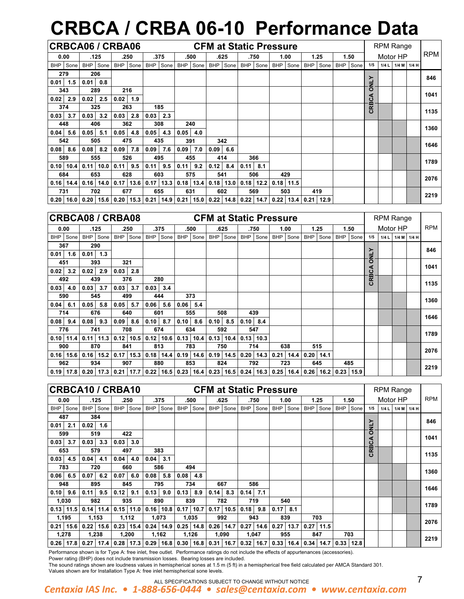# **CRBCA / CRBA 06-10 Performance Data**

|      |             |      |               | CRBCA06 / CRBA06 |             |            |             |                                                                                                   |             |            |             |            | <b>CFM at Static Pressure</b> |             |                             |          |          |        | <b>RPM Range</b> |             |            |
|------|-------------|------|---------------|------------------|-------------|------------|-------------|---------------------------------------------------------------------------------------------------|-------------|------------|-------------|------------|-------------------------------|-------------|-----------------------------|----------|----------|--------|------------------|-------------|------------|
|      | 0.00        |      | .125          |                  | .250        |            | .375        |                                                                                                   | .500        |            | .625        |            | .750                          | 1.00        |                             | 1.25     | 1.50     |        | Motor HP         |             | <b>RPM</b> |
|      | BHP Sone    |      | BHP Sone      |                  | BHP Sone    | <b>BHP</b> | Sone        |                                                                                                   | BHP Sone    |            | BHP Sone    |            | BHP Sone                      | BHP Sone    |                             | BHP Sone | BHP Sone | 1/5    | 1/4L             | 1/4 M 1/4 H |            |
|      | 279         |      | 206           |                  |             |            |             |                                                                                                   |             |            |             |            |                               |             |                             |          |          | ≻      |                  |             | 846        |
| 0.01 | 1.5         | 0.01 | 0.8           |                  |             |            |             |                                                                                                   |             |            |             |            |                               |             |                             |          |          | J      |                  |             |            |
|      | 343         |      | 289           |                  | 216         |            |             |                                                                                                   |             |            |             |            |                               |             |                             |          |          | O      |                  |             | 1041       |
| 0.02 | 2.9         | 0.02 | 2.5           | 0.02             | 1.9         |            |             |                                                                                                   |             |            |             |            |                               |             |                             |          |          | ⋖<br>ت |                  |             |            |
|      | 374         |      | 325           |                  | 263         |            | 185         |                                                                                                   |             |            |             |            |                               |             |                             |          |          | CRB    |                  |             | 1135       |
| 0.03 | 3.7         | 0.03 | 3.2           |                  | $0.03$ 2.8  | 0.03       | 2.3         |                                                                                                   |             |            |             |            |                               |             |                             |          |          |        |                  |             |            |
|      | 448         |      | 406           |                  | 362         |            | 308         |                                                                                                   | 240         |            |             |            |                               |             |                             |          |          |        |                  |             | 1360       |
| 0.04 | 5.6         | 0.05 | 5.1           | 0.05             | 4.8         | 0.05       | 4.3         | 0.05                                                                                              | 4.0         |            |             |            |                               |             |                             |          |          |        |                  |             |            |
|      | 542         |      | 505           |                  | 475         |            | 435         |                                                                                                   | 391         |            | 342         |            |                               |             |                             |          |          |        |                  |             | 1646       |
| 0.08 | 8.6         | 0.08 | 8.2           |                  | $0.09$ 7.8  | 0.09       | 7.6         | 0.09                                                                                              | 7.0         | 0.09       | 6.6         |            |                               |             |                             |          |          |        |                  |             |            |
|      | 589         |      | 555           |                  | 526         |            | 495         |                                                                                                   | 455         |            | 414         |            | 366                           |             |                             |          |          |        |                  |             | 1789       |
|      | $0.10$ 10.4 |      | $0.11$   10.0 | 0.11             | 9.5         | 0.11       | 9.5         | 0.11                                                                                              | 9.2         | $0.12$ 8.4 |             | $0.11$ 8.1 |                               |             |                             |          |          |        |                  |             |            |
|      | 684         |      | 653           |                  | 628         |            | 603         |                                                                                                   | 575         |            | 541         |            | 506                           | 429         |                             |          |          |        |                  |             | 2076       |
|      | $0.16$ 14.4 |      | $0.16$ 14.0   |                  | $0.17$ 13.6 |            | $0.17$ 13.3 |                                                                                                   | $0.18$ 13.4 |            | $0.18$ 13.0 |            | $0.18$ 12.2                   | $0.18$ 11.5 |                             |          |          |        |                  |             |            |
|      | 731         |      | 702           |                  | 677         |            | 655         |                                                                                                   | 631         |            | 602         |            | 569                           | 503         |                             | 419      |          |        |                  |             | 2219       |
|      |             |      |               |                  |             |            |             | $0.20$   16.0   0.20   15.6   0.20   15.3   0.21   14.9   0.21   15.0   0.22   14.8   0.22   14.7 |             |            |             |            |                               |             | $0.22$   13.4   0.21   12.9 |          |          |        |                  |             |            |

| <b>CRBCA08 / CRBA08</b> |      |               |             |      |             |      |             |               |             |             |             |             | <b>CFM at Static Pressure</b> |            |      |            |      |                         | <b>RPM Range</b> |          |      |            |
|-------------------------|------|---------------|-------------|------|-------------|------|-------------|---------------|-------------|-------------|-------------|-------------|-------------------------------|------------|------|------------|------|-------------------------|------------------|----------|------|------------|
| 0.00                    |      | .125          |             | .250 |             | .375 |             | .500          |             | .625        |             | .750        | 1.00                          |            | 1.25 |            | 1.50 |                         |                  | Motor HP |      | <b>RPM</b> |
| <b>BHP</b><br>Sone      |      | BHP Sone      | <b>BHP</b>  | Sone | <b>BHP</b>  | Sone | <b>BHP</b>  | Sone          | <b>BHP</b>  | Sone        | <b>BHP</b>  | Sone        | <b>BHP</b><br>Sone            | <b>BHP</b> | Sone | <b>BHP</b> | Sone | 1/5                     | 1/4L             | $1/4$ M  | 1/4H |            |
| 367                     |      | 290           |             |      |             |      |             |               |             |             |             |             |                               |            |      |            |      | ≻                       |                  |          |      | 846        |
| 0.01<br>1.6             |      | $0.01$ 1.3    |             |      |             |      |             |               |             |             |             |             |                               |            |      |            |      | ₹                       |                  |          |      |            |
| 451                     |      | 393           | 321         |      |             |      |             |               |             |             |             |             |                               |            |      |            |      | O                       |                  |          |      | 1041       |
| 0.02<br>3.2             | 0.02 | 2.9           | 0.03        | 2.8  |             |      |             |               |             |             |             |             |                               |            |      |            |      | c<br>ပ<br>മ             |                  |          |      |            |
| 492                     |      | 439           |             | 376  |             | 280  |             |               |             |             |             |             |                               |            |      |            |      | $\overline{\mathsf{g}}$ |                  |          |      | 1135       |
| 0.03<br>4.0             | 0.03 | 3.7           | 0.03        | 3.7  | 0.03        | 3.4  |             |               |             |             |             |             |                               |            |      |            |      |                         |                  |          |      |            |
| 590                     |      | 545           | 499         |      | 444         |      |             | 373           |             |             |             |             |                               |            |      |            |      |                         |                  |          |      | 1360       |
| 0.04<br>6.1             | 0.05 | 5.8           | 0.05        | 5.7  | 0.06        | 5.6  | 0.06        | 5.4           |             |             |             |             |                               |            |      |            |      |                         |                  |          |      |            |
| 714                     |      | 676           |             | 640  | 601         |      |             | 555           |             | 508         |             | 439         |                               |            |      |            |      |                         |                  |          |      | 1646       |
| 0.08<br>9.4             | 0.08 | 9.3           | 0.09        | 8.6  | 0.10        | 8.7  | 0.10        | 8.6           | $0.10$ 8.5  |             | 0.10        | 8.4         |                               |            |      |            |      |                         |                  |          |      |            |
| 776                     |      | 741           |             | 708  |             | 674  | 634         |               |             | 592         |             | 547         |                               |            |      |            |      |                         |                  |          |      | 1789       |
| $0.10$ 11.4             |      | $0.11$   11.3 | $0.12$ 10.5 |      | $0.12$ 10.6 |      |             | $0.13$ 10.4   |             | $0.13$ 10.4 |             | $0.13$ 10.3 |                               |            |      |            |      |                         |                  |          |      |            |
| 900                     |      | 870           | 841         |      | 813         |      |             | 783           |             | 750         |             | 714         | 638                           |            | 515  |            |      |                         |                  |          |      | 2076       |
| 0.16<br>15.6            |      | $0.16$ 15.2   | 0.17        | 15.3 | $0.18$ 14.4 |      |             | $0.19$   14.6 |             | $0.19$ 14.5 | 0.20        | 14.3        | 0.21<br>14.4                  | 0.20       | 14.1 |            |      |                         |                  |          |      |            |
| 962                     |      | 934           | 907         |      | 880         |      | 853         |               |             | 824         |             | 792         | 723                           |            | 645  |            | 485  |                         |                  |          |      | 2219       |
| 0.19<br>17.8            |      | $0.20$ 17.3   | 0.21        | 17.7 | 0.22        | 16.5 | $0.23$ 16.4 |               | $0.23$ 16.5 |             | $0.24$ 16.3 |             | 0.25<br>16.4                  | 0.26       | 16.2 | 0.23       | 15.9 |                         |                  |          |      |            |

|      |             |            |             | CRBCA10 / CRBA10                                                                                                              |             |             |      |                             |             |      | <b>CFM at Static Pressure</b> |            |             |            |      |             |      |            |      |                      | <b>RPM Range</b> |         |      |            |
|------|-------------|------------|-------------|-------------------------------------------------------------------------------------------------------------------------------|-------------|-------------|------|-----------------------------|-------------|------|-------------------------------|------------|-------------|------------|------|-------------|------|------------|------|----------------------|------------------|---------|------|------------|
|      | 0.00        |            | .125        |                                                                                                                               | .250        |             | .375 |                             | .500        |      | .625                          |            | .750        |            | 1.00 |             | 1.25 |            | 1.50 |                      | Motor HP         |         |      | <b>RPM</b> |
| BHP  | Sone        | <b>BHP</b> | Sone        | <b>BHP</b>                                                                                                                    | Sone        | <b>BHP</b>  | Sone |                             | BHP Sone    | BHP  | Sone                          | BHP        | Sone        | <b>BHP</b> | Sone | BHP         | Sone | <b>BHP</b> | Sone | 1/5                  | 1/4L             | $1/4$ M | 1/4H |            |
| 487  |             |            | 384         |                                                                                                                               |             |             |      |                             |             |      |                               |            |             |            |      |             |      |            |      | ≻                    |                  |         |      | 846        |
| 0.01 | 2.1         | 0.02       | 1.6         |                                                                                                                               |             |             |      |                             |             |      |                               |            |             |            |      |             |      |            |      | ž                    |                  |         |      |            |
|      | 599         | 519        |             | 422                                                                                                                           |             |             |      |                             |             |      |                               |            |             |            |      |             |      |            |      | O                    |                  |         |      | 1041       |
| 0.03 | 3.7         | 0.03       | 3.3         | 0.03                                                                                                                          | 3.0         |             |      |                             |             |      |                               |            |             |            |      |             |      |            |      | ⋖<br>ပ               |                  |         |      |            |
| 653  |             | 579        |             | 497                                                                                                                           |             | 383         |      |                             |             |      |                               |            |             |            |      |             |      |            |      | RB<br>$\overline{O}$ |                  |         |      | 1135       |
| 0.03 | 4.5         | 0.04       | 4.1         | 0.04                                                                                                                          | 4.0         | 0.04        | 3.1  |                             |             |      |                               |            |             |            |      |             |      |            |      |                      |                  |         |      |            |
|      | 783         | 720        |             | 660                                                                                                                           |             | 586         |      |                             | 494         |      |                               |            |             |            |      |             |      |            |      |                      |                  |         |      | 1360       |
| 0.06 | 6.5         | 0.07       | 6.2         | 0.07                                                                                                                          | 6.0         | 0.08        | 5.8  | 0.08                        | 4.8         |      |                               |            |             |            |      |             |      |            |      |                      |                  |         |      |            |
|      | 948         | 895        |             | 845                                                                                                                           |             |             | 795  |                             | 734         |      | 667                           |            | 586         |            |      |             |      |            |      |                      |                  |         |      | 1646       |
| 0.10 | 9.6         | 0.11       | 9.5         | 0.12                                                                                                                          | 9.1         | 0.13        | 9.0  | $0.13 \,   \, 8.9$          |             | 0.14 | 8.3                           | $0.14$ 7.1 |             |            |      |             |      |            |      |                      |                  |         |      |            |
|      | 1,030       |            | 982         | 935                                                                                                                           |             | 890         |      |                             | 839         |      | 782                           |            | 719         |            | 540  |             |      |            |      |                      |                  |         |      | 1789       |
|      | $0.13$ 11.5 |            | $0.14$ 11.4 |                                                                                                                               | $0.15$ 11.0 |             |      | $0.16$   10.8   0.17   10.7 |             |      | $0.17$ 10.5                   | 0.18       | 9.8         | 0.17       | 8.1  |             |      |            |      |                      |                  |         |      |            |
|      | 1,195       | 1,153      |             | 1,112                                                                                                                         |             | 1,073       |      |                             | 1,035       |      | 992                           |            | 943         |            | 839  |             | 703  |            |      |                      |                  |         |      | 2076       |
|      | $0.21$ 15.6 |            | $0.22$ 15.6 |                                                                                                                               | $0.23$ 15.4 | $0.24$ 14.9 |      |                             | $0.25$ 14.8 |      | $0.26$ 14.7                   |            | $0.27$ 14.6 | 0.27       | 13.7 | $0.27$ 11.5 |      |            |      |                      |                  |         |      |            |
|      | 1,278       | 1,238      |             | 1,200                                                                                                                         |             | 1,162       |      |                             | 1,126       |      | 1,090                         |            | 1,047       |            | 955  | 847         |      |            | 703  |                      |                  |         |      | 2219       |
|      | $0.26$ 17.8 |            |             | $0.27$   17.4   0.28   17.3   0.29   16.8   0.30   16.8   0.31   16.7   0.32   16.7   0.33   16.4   0.34   14.7   0.33   12.8 |             |             |      |                             |             |      |                               |            |             |            |      |             |      |            |      |                      |                  |         |      |            |

Performance shown is for Type A: free inlet, free outlet. Performance ratings do not include the effects of appurtenances (accessories).

Power rating (BHP) does not include transmission losses. Bearing losses are included.

The sound ratings shown are loudness values in hemispherical sones at 1.5 m (5 ft) in a hemispherical free field calculated per AMCA Standard 301.

Values shown are for Installation Type A: free inlet hemispherical sone levels.

*Centaxia IAS Inc. • 1-888-656-0444 • sales@centaxia.com • www.centaxia.com*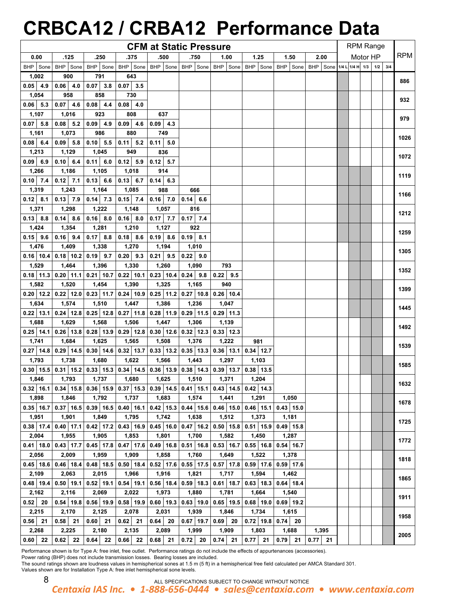# **CRBCA12 / CRBA12 Performance Data**

|                      |                                                                                                                 |                      |                      | <b>CFM at Static Pressure</b>                                         |                        |                                      |                                           |                                                              |           | <b>RPM Range</b> |          |     |            |
|----------------------|-----------------------------------------------------------------------------------------------------------------|----------------------|----------------------|-----------------------------------------------------------------------|------------------------|--------------------------------------|-------------------------------------------|--------------------------------------------------------------|-----------|------------------|----------|-----|------------|
| 0.00                 | .125                                                                                                            | .250                 | .375                 | .500                                                                  | .750                   | 1.00                                 | 1.25                                      | 1.50                                                         | 2.00      |                  | Motor HP |     | <b>RPM</b> |
| BHP Sone             | BHP Sone                                                                                                        | BHP Sone             |                      | BHP   Sone   BHP   Sone   BHP   Sone                                  |                        | BHP Sone                             |                                           | BHP Sone   BHP   Sone   BHP   Sone   1/4 L 1/4 H   1/3   1/2 |           |                  |          | 3/4 |            |
| 1,002                | 900                                                                                                             | 791                  | 643                  |                                                                       |                        |                                      |                                           |                                                              |           |                  |          |     |            |
| $0.05$ 4.9           | $0.06$ 4.0                                                                                                      | $0.07$ 3.8           | $0.07$ 3.5           |                                                                       |                        |                                      |                                           |                                                              |           |                  |          |     | 886        |
| 1,054                | 958                                                                                                             | 858                  | 730                  |                                                                       |                        |                                      |                                           |                                                              |           |                  |          |     |            |
| $0.06$ 5.3           | $0.07$ 4.6                                                                                                      | $0.08$ 4.4           | $0.08$ 4.0           |                                                                       |                        |                                      |                                           |                                                              |           |                  |          |     | 932        |
| 1,107                | 1,016                                                                                                           | 923                  | 808                  | 637                                                                   |                        |                                      |                                           |                                                              |           |                  |          |     |            |
| $0.07$ 5.8           | $0.08$ 5.2                                                                                                      | $0.09$ 4.9           | $0.09 \, 4.6$        | $0.09$ 4.3                                                            |                        |                                      |                                           |                                                              |           |                  |          |     | 979        |
| 1,161                | 1,073                                                                                                           | 986                  | 880                  | 749                                                                   |                        |                                      |                                           |                                                              |           |                  |          |     |            |
| $0.08$ 6.4           | $0.09$ 5.8                                                                                                      | $0.10$ 5.5           | $0.11 \, 5.2$        | $0.11$ 5.0                                                            |                        |                                      |                                           |                                                              |           |                  |          |     | 1026       |
| 1,213                | 1,129                                                                                                           | 1,045                | 949                  | 836                                                                   |                        |                                      |                                           |                                                              |           |                  |          |     | 1072       |
| $0.09$ 6.9           | $0.10$ 6.4                                                                                                      | 0.11<br>6.0          | $0.12$ 5.9           | $0.12$ 5.7                                                            |                        |                                      |                                           |                                                              |           |                  |          |     |            |
| 1,266                | 1,186                                                                                                           | 1,105                | 1,018                | 914                                                                   |                        |                                      |                                           |                                                              |           |                  |          |     | 1119       |
| $0.10$ 7.4           | $0.12$ 7.1                                                                                                      | $0.13$ 6.6           | $0.13$ 6.7           | $0.14$ 6.3                                                            |                        |                                      |                                           |                                                              |           |                  |          |     |            |
| 1,319                | 1,243                                                                                                           | 1,164                | 1,085                | 988                                                                   | 666                    |                                      |                                           |                                                              |           |                  |          |     | 1166       |
| $0.12$ 8.1           | $0.13$ 7.9                                                                                                      | $0.14$ 7.3           | $0.15$ 7.4           | $0.16$ 7.0                                                            | $0.14$ 6.6             |                                      |                                           |                                                              |           |                  |          |     |            |
| 1,371                | 1,298                                                                                                           | 1,222                | 1,148                | 1,057                                                                 | 816                    |                                      |                                           |                                                              |           |                  |          |     | 1212       |
| $0.13$ 8.8           | $0.14$ 8.6                                                                                                      | $0.16$ 8.0           | $0.16$ 8.0           | $0.17$ 7.7                                                            | $0.17$ 7.4             |                                      |                                           |                                                              |           |                  |          |     |            |
| 1,424                | 1,354                                                                                                           | 1,281                | 1,210                | 1,127                                                                 | 922                    |                                      |                                           |                                                              |           |                  |          |     | 1259       |
| $0.15$ 9.6           | $0.16$ 9.4                                                                                                      | $0.17$ 8.8           | $0.18$ 8.6           | $0.19$ 8.6                                                            | $0.19$ 8.1             |                                      |                                           |                                                              |           |                  |          |     |            |
| 1,476                | 1,409                                                                                                           | 1,338                | 1,270                | 1,194                                                                 | 1,010                  |                                      |                                           |                                                              |           |                  |          |     | 1305       |
| $0.16$ 10.4          | $0.18$ 10.2                                                                                                     | $0.19$ 9.7           | 0.20<br>9.3          | $0.21$ 9.5                                                            | $0.22$ 9.0             |                                      |                                           |                                                              |           |                  |          |     |            |
| 1,529                | 1,464                                                                                                           | 1,396                | 1,330                | 1,260                                                                 | 1,090                  | 793                                  |                                           |                                                              |           |                  |          |     | 1352       |
| $0.18$ 11.3          | $0.20$ 11.1                                                                                                     | $0.21$ 10.7          | $0.22$ 10.1          | $0.23$ 10.4                                                           | $0.24$ 9.8             | $0.22$ 9.5                           |                                           |                                                              |           |                  |          |     |            |
| 1,582                | 1,520                                                                                                           | 1,454                | 1,390                | 1,325                                                                 | 1,165                  | 940                                  |                                           |                                                              |           |                  |          |     | 1399       |
| $0.20$   12.2        | $0.22$ 12.0                                                                                                     | $0.23$ 11.7          | $0.24$ 10.9          | $0.25$ 11.2                                                           | $0.27$ 10.8            | $0.26$ 10.4                          |                                           |                                                              |           |                  |          |     |            |
| 1,634                | 1,574                                                                                                           | 1,510                | 1,447                | 1,386                                                                 | 1,236                  | 1,047                                |                                           |                                                              |           |                  |          |     | 1445       |
| $0.22$ 13.1          | $0.24$ 12.8                                                                                                     | $0.25$ 12.8          | $0.27$ 11.8          | $0.28$ 11.9                                                           | $0.29$ 11.5            | $0.29$ 11.3                          |                                           |                                                              |           |                  |          |     |            |
| 1,688                | 1,629                                                                                                           | 1,568                | 1,506                | 1,447                                                                 | 1,306                  | 1,139                                |                                           |                                                              |           |                  |          |     | 1492       |
| $0.25$ 14.1          | $0.26$ 13.8                                                                                                     | $0.28$ 13.9          |                      | $0.29$   12.8   0.30   12.6   0.32   12.3   0.33   12.3               |                        |                                      |                                           |                                                              |           |                  |          |     |            |
| 1,741                | 1,684                                                                                                           | 1,625                | 1,565                | 1,508                                                                 | 1,376                  | 1,222                                | 981                                       |                                                              |           |                  |          |     | 1539       |
|                      | $0.27$   14.8   0.29   14.5                                                                                     |                      |                      | $0.30$   14.6   0.32   13.7   0.33   13.2   0.35   13.3   0.36   13.1 |                        |                                      | $0.34$ 12.7                               |                                                              |           |                  |          |     |            |
| 1,793                | 1,738                                                                                                           | 1,680                | 1,622                | 1,566                                                                 | 1,443                  | 1,297                                | 1,103                                     |                                                              |           |                  |          |     | 1585       |
|                      | 0.30   15.5   0.31   15.2   0.33   15.3   0.34   14.5   0.36   13.9   0.38   14.3   0.39   13.7   0.38   13.5   |                      |                      |                                                                       |                        |                                      |                                           |                                                              |           |                  |          |     |            |
| 1,846                | 1,793                                                                                                           | 1,737                | 1,680                | 1,625                                                                 | 1,510                  | 1,371                                | 1,204                                     |                                                              |           |                  |          |     | 1632       |
|                      | $0.32$   16.1   0.34   15.8   0.36   15.9   0.37   15.3   0.39   14.5   0.41   15.1   0.43   14.5   0.42   14.3 |                      |                      |                                                                       |                        |                                      |                                           |                                                              |           |                  |          |     |            |
| 1,898                | 1,846                                                                                                           | 1,792                | 1,737                | 1,683                                                                 | 1,574                  | 1,441                                | 1,291                                     | 1,050                                                        |           |                  |          |     | 1678       |
| $0.35$ 16.7          | $0.37$ 16.5                                                                                                     | $0.39$ 16.5          |                      | $0.40$   16.1   0.42   15.3                                           |                        |                                      | $0.44$   15.6   0.46   15.0   0.46   15.1 | $0.43$ 15.0                                                  |           |                  |          |     |            |
| 1,951                | 1,901                                                                                                           | 1,849                | 1,795                | 1,742                                                                 | 1,638                  | 1,512                                | 1,373                                     | 1,181                                                        |           |                  |          |     | 1725       |
| $0.38$   17.4        | $0.40$ 17.1                                                                                                     | $0.42$ 17.2          | $0.43$ 16.9          | $0.45$ 16.0                                                           | $0.47$ 16.2            | $0.50$ 15.8                          | $0.51$ 15.9                               | $0.49$ 15.8                                                  |           |                  |          |     |            |
| 2,004                | 1,955<br>$0.43$ 17.7                                                                                            | 1,905                | 1,853                | 1,801                                                                 | 1,700                  | 1,582                                | 1,450                                     | 1,287                                                        |           |                  |          |     | 1772       |
| $0.41$ 18.0          |                                                                                                                 | $0.45$ 17.8          | $0.47$ 17.6          | $0.49$ 16.8                                                           |                        | $0.51$   16.8   0.53   16.7          | $0.55$ 16.8                               | $0.54$ 16.7                                                  |           |                  |          |     |            |
| 2,056                | 2,009<br>$0.45$   18.6   0.46   18.4                                                                            | 1,959<br>$0.48$ 18.5 | 1,909<br>$0.50$ 18.4 | 1,858<br>$0.52$ 17.6                                                  | 1,760                  | 1,649<br>$0.55$   17.5   0.57   17.8 | 1,522<br>$0.59$ 17.6                      | 1,378                                                        |           |                  |          |     | 1818       |
|                      |                                                                                                                 |                      |                      |                                                                       |                        |                                      |                                           | $0.59$ 17.6                                                  |           |                  |          |     |            |
| 2,109<br>$0.48$ 19.4 | 2,063<br>$0.50$ 19.1                                                                                            | 2,015<br>$0.52$ 19.1 | 1,966<br>$0.54$ 19.1 | 1,916<br>$0.56$ 18.4                                                  | 1,821<br>$0.59$   18.3 | 1,717<br>$0.61$ 18.7                 | 1,594<br>$0.63$ 18.3                      | 1,462<br>$0.64$ 18.4                                         |           |                  |          |     | 1865       |
| 2,162                | 2,116                                                                                                           | 2,069                | 2,022                | 1,973                                                                 | 1,880                  | 1,781                                | 1,664                                     | 1,540                                                        |           |                  |          |     |            |
| $0.52$ 20            | $0.54$ 19.8                                                                                                     | $0.56$ 19.9          | $0.58$ 19.9          | $0.60$ 19.3                                                           | 0.63   19.0            | $0.65$ 19.5                          | $0.68$ 19.0                               | $0.69$ 19.2                                                  |           |                  |          |     | 1911       |
| 2,215                | 2,170                                                                                                           | 2,125                | 2,078                | 2,031                                                                 | 1,939                  | 1,846                                | 1,734                                     | 1,615                                                        |           |                  |          |     |            |
| $0.56$ 21            | $0.58$ 21                                                                                                       | $0.60$ 21            | $0.62$ 21            | $0.64$ 20                                                             | $0.67$   19.7          | $0.69$ 20                            | $0.72$ 19.8                               | $0.74$ 20                                                    |           |                  |          |     | 1958       |
| 2,268                | 2,225                                                                                                           | 2,180                | 2,135                | 2,089                                                                 | 1,999                  | 1,909                                | 1,803                                     | 1,688                                                        | 1,395     |                  |          |     |            |
| $0.60$ 22            | $0.62$ 22                                                                                                       | $0.64$ 22            | $0.66$ 22            | $0.68$ 21                                                             | $0.72$ 20              | $0.74$ 21                            | $0.77$ 21                                 | $0.79$ 21                                                    | $0.77$ 21 |                  |          |     | 2005       |
|                      |                                                                                                                 |                      |                      |                                                                       |                        |                                      |                                           |                                                              |           |                  |          |     |            |

Performance shown is for Type A: free inlet, free outlet. Performance ratings do not include the effects of appurtenances (accessories).

Power rating (BHP) does not include transmission losses. Bearing losses are included.

The sound ratings shown are loudness values in hemispherical sones at 1.5 m (5 ft) in a hemispherical free field calculated per AMCA Standard 301. Values shown are for Installation Type A: free inlet hemispherical sone levels.

8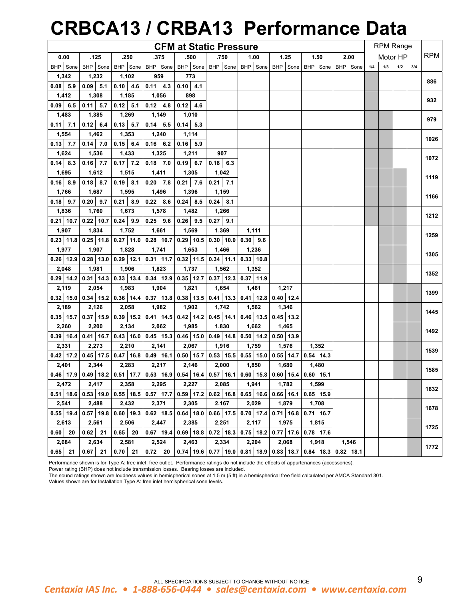# **CRBCA13 / CRBA13 Performance Data**

|               |                                                                                                               |               |                             | <b>CFM at Static Pressure</b>                                         |                                           |                                               |                                                         |             |                             |     | <b>RPM Range</b> |     |     |            |
|---------------|---------------------------------------------------------------------------------------------------------------|---------------|-----------------------------|-----------------------------------------------------------------------|-------------------------------------------|-----------------------------------------------|---------------------------------------------------------|-------------|-----------------------------|-----|------------------|-----|-----|------------|
| 0.00          | .125                                                                                                          | .250          | .375                        | .500                                                                  | .750                                      | 1.00                                          | 1.25                                                    | 1.50        | 2.00                        |     | Motor HP         |     |     | <b>RPM</b> |
| BHP Sone      | BHP Sone                                                                                                      | BHP Sone      | BHP Sone                    | BHP Sone                                                              |                                           | BHP Sone BHP Sone                             | BHP Sone                                                | BHP Sone    | BHP Sone                    | 1/4 | 1/3              | 1/2 | 3/4 |            |
| 1,342         | 1,232                                                                                                         | 1,102         | 959                         | 773                                                                   |                                           |                                               |                                                         |             |                             |     |                  |     |     |            |
| $0.08$ 5.9    | $0.09$ 5.1                                                                                                    | $0.10 \, 4.6$ | $0.11$ 4.3                  | $0.10$ 4.1                                                            |                                           |                                               |                                                         |             |                             |     |                  |     |     | 886        |
| 1,412         | 1,308                                                                                                         | 1,185         | 1,056                       | 898                                                                   |                                           |                                               |                                                         |             |                             |     |                  |     |     |            |
| $0.09$ 6.5    | $0.11$ 5.7                                                                                                    | $0.12$ 5.1    | $0.12$ 4.8                  | $0.12$ 4.6                                                            |                                           |                                               |                                                         |             |                             |     |                  |     |     | 932        |
| 1,483         | 1,385                                                                                                         | 1,269         | 1,149                       | 1,010                                                                 |                                           |                                               |                                                         |             |                             |     |                  |     |     |            |
| $0.11$ 7.1    | $0.12 \ 6.4$                                                                                                  | $0.13$ 5.7    | $0.14$ 5.5                  | $0.14$ 5.3                                                            |                                           |                                               |                                                         |             |                             |     |                  |     |     | 979        |
| 1,554         | 1,462                                                                                                         | 1,353         | 1,240                       | 1,114                                                                 |                                           |                                               |                                                         |             |                             |     |                  |     |     |            |
| $0.13$ 7.7    | $0.14$ 7.0                                                                                                    | $0.15$ 6.4    | $0.16$ 6.2                  | 0.16<br>5.9                                                           |                                           |                                               |                                                         |             |                             |     |                  |     |     | 1026       |
| 1,624         | 1,536                                                                                                         | 1,433         | 1,325                       | 1,211                                                                 | 907                                       |                                               |                                                         |             |                             |     |                  |     |     |            |
| $0.14$ 8.3    | $0.16$ 7.7                                                                                                    | $0.17$ 7.2    | $0.18$ 7.0                  | $0.19$ 6.7                                                            | $0.18$ 6.3                                |                                               |                                                         |             |                             |     |                  |     |     | 1072       |
| 1,695         | 1,612                                                                                                         | 1,515         | 1,411                       | 1,305                                                                 | 1,042                                     |                                               |                                                         |             |                             |     |                  |     |     |            |
| $0.16$ 8.9    | $0.18$ 8.7                                                                                                    | $0.19$ 8.1    | $0.20$ 7.8                  | $0.21$ 7.6                                                            | $0.21$ 7.1                                |                                               |                                                         |             |                             |     |                  |     |     | 1119       |
| 1,766         | 1,687                                                                                                         | 1,595         | 1,496                       | 1,396                                                                 | 1,159                                     |                                               |                                                         |             |                             |     |                  |     |     |            |
| $0.18$ 9.7    | $0.20$ 9.7                                                                                                    | $0.21$ 8.9    | $0.22$ 8.6                  | $0.24$ 8.5                                                            | $0.24$ 8.1                                |                                               |                                                         |             |                             |     |                  |     |     | 1166       |
| 1,836         | 1,760                                                                                                         | 1,673         | 1,578                       | 1,482                                                                 | 1,266                                     |                                               |                                                         |             |                             |     |                  |     |     |            |
| $0.21$   10.7 | $0.22$ 10.7                                                                                                   | $0.24$ 9.9    | $0.25$ 9.6                  | $0.26$ 9.5                                                            | 0.27<br>9.1                               |                                               |                                                         |             |                             |     |                  |     |     | 1212       |
| 1,907         | 1,834                                                                                                         | 1,752         | 1,661                       | 1,569                                                                 | 1,369                                     | 1,111                                         |                                                         |             |                             |     |                  |     |     |            |
|               | $0.23$   11.8   0.25   11.8                                                                                   | $0.27$ 11.0   | $0.28$ 10.7                 | $0.29$ 10.5                                                           | $0.30$ 10.0                               | 0.30<br>9.6                                   |                                                         |             |                             |     |                  |     |     | 1259       |
| 1,977         | 1,907                                                                                                         | 1,828         | 1,741                       | 1,653                                                                 | 1,466                                     | 1,236                                         |                                                         |             |                             |     |                  |     |     |            |
|               | $0.26$   12.9   0.28   13.0                                                                                   | $0.29$ 12.1   | $0.31$ 11.7                 | $0.32$ 11.5                                                           | $0.34$ 11.1                               | $0.33$ 10.8                                   |                                                         |             |                             |     |                  |     |     | 1305       |
| 2,048         | 1,981                                                                                                         | 1,906         | 1,823                       | 1,737                                                                 | 1,562                                     | 1,352                                         |                                                         |             |                             |     |                  |     |     |            |
|               | $0.29$   14.2   0.31   14.3                                                                                   | $0.33$   13.4 |                             | $0.34$   12.9   0.35   12.7                                           | $0.37$ 12.3                               | $0.37$ 11.9                                   |                                                         |             |                             |     |                  |     |     | 1352       |
| 2,119         | 2,054                                                                                                         | 1,983         | 1,904                       | 1,821                                                                 | 1,654                                     | 1,461                                         | 1,217                                                   |             |                             |     |                  |     |     |            |
|               | $0.32$   15.0   0.34   15.2                                                                                   | $0.36$ 14.4   | $0.37$ 13.8                 | $0.38$ 13.5                                                           | $0.41$ 13.3                               | $0.41$ 12.8                                   | $0.40$ 12.4                                             |             |                             |     |                  |     |     | 1399       |
| 2,189         | 2,126                                                                                                         | 2,058         | 1,982                       | 1,902                                                                 | 1,742                                     | 1,562                                         | 1,346                                                   |             |                             |     |                  |     |     |            |
|               | $0.35$   15.7   0.37   15.9   0.39   15.2   0.41   14.5   0.42   14.2   0.45   14.1                           |               |                             |                                                                       |                                           | $0.46$ 13.5                                   | $0.45$ 13.2                                             |             |                             |     |                  |     |     | 1445       |
| 2,260         | 2,200                                                                                                         | 2,134         | 2,062                       | 1,985                                                                 | 1,830                                     | 1,662                                         | 1,465                                                   |             |                             |     |                  |     |     | 1492       |
|               | $0.39$ 16.4 0.41 16.7                                                                                         |               |                             | $0.43$   16.0   0.45   15.3   0.46   15.0                             |                                           | $\vert 0.49 \vert 14.8 \vert 0.50 \vert 14.2$ | $0.50$ 13.9                                             |             |                             |     |                  |     |     |            |
| 2,331         | 2,273                                                                                                         | 2,210         | 2,141                       | 2,067                                                                 | 1,916                                     | 1,759                                         | 1,576                                                   | 1,352       |                             |     |                  |     |     | 1539       |
|               | $0.42$ 17.2 0.45 17.5                                                                                         |               |                             | $0.47$   16.8   0.49   16.1   0.50   15.7   0.53   15.5   0.55   15.0 |                                           |                                               | $0.55$ 14.7                                             | $0.54$ 14.3 |                             |     |                  |     |     |            |
| 2,401         | 2,344                                                                                                         | 2,283         | 2,217                       | 2,146                                                                 | 2,000                                     | 1,850                                         | 1,680                                                   | 1,480       |                             |     |                  |     |     | 1585       |
|               | 0.46   17.9   0.49   18.2   0.51   17.7   0.53   16.9   0.54   16.4   0.57   16.1   0.60   15.8   0.60   15.4 |               |                             |                                                                       |                                           |                                               |                                                         | $0.60$ 15.1 |                             |     |                  |     |     |            |
| 2,472         | 2,417                                                                                                         | 2,358         | 2,295                       | 2,227                                                                 | 2,085                                     | 1,941                                         | 1,782                                                   | 1,599       |                             |     |                  |     |     | 1632       |
|               | $0.51$   18.6   0.53   19.0                                                                                   |               | $0.55$   18.5   0.57   17.7 |                                                                       |                                           |                                               | $0.59$   17.2   0.62   16.8   0.65   16.6   0.66   16.1 | $0.65$ 15.9 |                             |     |                  |     |     |            |
| 2,541         | 2,488                                                                                                         | 2,432         | 2,371                       | 2,305                                                                 | 2,167                                     | 2,029                                         | 1,879                                                   | 1,708       |                             |     |                  |     |     | 1678       |
|               | $0.55$   19.4   0.57   19.8                                                                                   | $0.60$   19.3 | $0.62$ 18.5                 |                                                                       |                                           |                                               | $0.64$   18.0   0.66   17.5   0.70   17.4   0.71   16.8 | $0.71$ 16.7 |                             |     |                  |     |     |            |
| 2,613         | 2,561                                                                                                         | 2,506         | 2,447                       | 2,385                                                                 | 2,251                                     | 2,117                                         | 1,975                                                   | 1,815       |                             |     |                  |     |     | 1725       |
| $0.60$ 20     | $0.62$ 21                                                                                                     | $0.65$ 20     | $0.67$ 19.4                 |                                                                       |                                           |                                               | $0.69$   18.8   0.72   18.3   0.75   18.2   0.77   17.6 | $0.78$ 17.6 |                             |     |                  |     |     |            |
| 2,684         | 2,634                                                                                                         | 2,581         | 2,524                       | 2,463                                                                 | 2,334                                     | 2,204                                         | 2,068                                                   | 1,918       | 1,546                       |     |                  |     |     | 1772       |
| $0.65$ 21     | $0.67$ 21                                                                                                     | $0.70$ 21     | $0.72$ 20                   |                                                                       | $0.74$   19.6   0.77   19.0   0.81   18.9 |                                               | $0.83$ 18.7                                             |             | $0.84$   18.3   0.82   18.1 |     |                  |     |     |            |

Performance shown is for Type A: free inlet, free outlet. Performance ratings do not include the effects of appurtenances (accessories).

Power rating (BHP) does not include transmission losses. Bearing losses are included.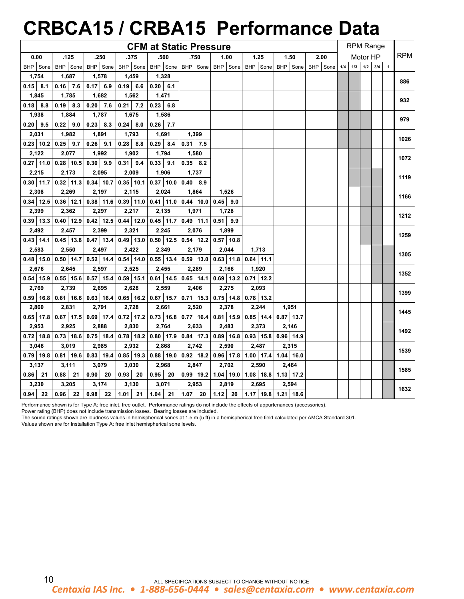# **CRBCA15 / CRBA15 Performance Data**

|               |               |                         |             | <b>CFM at Static Pressure</b> |               |               |               |             |          |     |     | <b>RPM Range</b> |     |            |
|---------------|---------------|-------------------------|-------------|-------------------------------|---------------|---------------|---------------|-------------|----------|-----|-----|------------------|-----|------------|
| 0.00          | .125          | .250                    | .375        | .500                          | .750          | 1.00          | 1.25          | 1.50        | 2.00     |     |     | Motor HP         |     | <b>RPM</b> |
| BHP Sone      | BHP Sone      | BHP Sone                | BHP Sone    | BHP Sone                      | BHP Sone      | BHP Sone      | BHP Sone      | BHP Sone    | BHP Sone | 1/4 | 1/3 | 1/2              | 3/4 |            |
| 1,754         | 1,687         | 1,578                   | 1,459       | 1,328                         |               |               |               |             |          |     |     |                  |     | 886        |
| $0.15$ 8.1    | $0.16$ 7.6    | 0.17<br>6.9             | $0.19$ 6.6  | $0.20 \ 6.1$                  |               |               |               |             |          |     |     |                  |     |            |
| 1,845         | 1,785         | 1,682                   | 1,562       | 1,471                         |               |               |               |             |          |     |     |                  |     | 932        |
| $0.18$ 8.8    | $0.19$ 8.3    | 7.6<br>0.20             | 7.2<br>0.21 | 0.23<br>6.8                   |               |               |               |             |          |     |     |                  |     |            |
| 1,938         | 1,884         | 1,787                   | 1,675       | 1,586                         |               |               |               |             |          |     |     |                  |     | 979        |
| $0.20$ 9.5    | 0.22<br>9.0   | 8.3<br>0.23             | 0.24<br>8.0 | $0.26$ 7.7                    |               |               |               |             |          |     |     |                  |     |            |
| 2,031         | 1,982         | 1,891                   | 1,793       | 1,691                         | 1,399         |               |               |             |          |     |     |                  |     | 1026       |
| $0.23$ 10.2   | $0.25$ 9.7    | 9.1<br>0.26             | 8.8<br>0.28 | 0.29<br>8.4                   | 0.31<br>7.5   |               |               |             |          |     |     |                  |     |            |
| 2,122         | 2,077         | 1,992                   | 1,902       | 1,794                         | 1,580         |               |               |             |          |     |     |                  |     | 1072       |
| $0.27$ 11.0   | $0.28$ 10.5   | 0.30<br>9.9             | 0.31<br>9.4 | 0.33<br>9.1                   | 0.35<br>8.2   |               |               |             |          |     |     |                  |     |            |
| 2,215         | 2,173         | 2,095                   | 2,009       | 1,906                         | 1,737         |               |               |             |          |     |     |                  |     | 1119       |
| $0.30$ 11.7   | $0.32$ 11.3   | $0.34$ 10.7             | $0.35$ 10.1 | $0.37$ 10.0                   | 0.40<br>8.9   |               |               |             |          |     |     |                  |     |            |
| 2,308         | 2,269         | 2,197                   | 2,115       | 2,024                         | 1,864         | 1,526         |               |             |          |     |     |                  |     | 1166       |
| $0.34$   12.5 | $0.36$ 12.1   | $0.38$ 11.6             | $0.39$ 11.0 | $0.41$ 11.0                   | $0.44$ 10.0   | 0.45<br>9.0   |               |             |          |     |     |                  |     |            |
| 2,399         | 2,362         | 2,297                   | 2,217       | 2,135                         | 1,971         | 1,728         |               |             |          |     |     |                  |     | 1212       |
| $0.39$   13.3 | $0.40$ 12.9   | $0.42$ 12.5             | $0.44$ 12.0 | $0.45$ 11.7                   | $0.49$ 11.1   | 0.51<br>9.9   |               |             |          |     |     |                  |     |            |
| 2,492         | 2,457         | 2,399                   | 2,321       | 2,245                         | 2,076         | 1,899         |               |             |          |     |     |                  |     | 1259       |
| $0.43$ 14.1   | $0.45$ 13.8   | $0.47$ 13.4             | $0.49$ 13.0 | $0.50$ 12.5                   | $0.54$ 12.2   | $0.57$ 10.8   |               |             |          |     |     |                  |     |            |
| 2,583         | 2,550         | 2,497                   | 2,422       | 2,349                         | 2,179         | 2,044         | 1,713         |             |          |     |     |                  |     | 1305       |
| $0.48$ 15.0   | $0.50$   14.7 | $0.52$ 14.4             | $0.54$ 14.0 | $0.55$ 13.4                   | $0.59$   13.0 | $0.63$   11.8 | $0.64$ 11.1   |             |          |     |     |                  |     |            |
| 2,676         | 2,645         | 2,597                   | 2,525       | 2,455                         | 2,289         | 2,166         | 1,920         |             |          |     |     |                  |     | 1352       |
| $0.54$ 15.9   | $0.55$ 15.6   | $0.57$ 15.4             | $0.59$ 15.1 | $0.61$ 14.5                   | $0.65$ 14.1   | $0.69$ 13.2   | $0.71$ 12.2   |             |          |     |     |                  |     |            |
| 2,769         | 2,739         | 2,695                   | 2,628       | 2,559                         | 2,406         | 2,275         | 2,093         |             |          |     |     |                  |     | 1399       |
| $0.59$ 16.8   | $0.61$ 16.6   | $0.63$ 16.4             | $0.65$ 16.2 | $0.67$ 15.7                   | $0.71$ 15.3   | $0.75$ 14.8   | $0.78$ 13.2   |             |          |     |     |                  |     |            |
| 2,860         | 2,831         | 2,791                   | 2,728       | 2,661                         | 2,520         | 2,378         | 2,244         | 1,951       |          |     |     |                  |     | 1445       |
| $0.65$ 17.8   | $0.67$ 17.5   | $0.69$ 17.4             | $0.72$ 17.2 | $0.73$ 16.8                   | $0.77$ 16.4   | $0.81$ 15.9   | $0.85$ 14.4   | $0.87$ 13.7 |          |     |     |                  |     |            |
| 2,953         | 2,925         | 2,888                   | 2,830       | 2,764                         | 2,633         | 2,483         | 2,373         | 2,146       |          |     |     |                  |     | 1492       |
| $0.72$   18.8 | $0.73$ 18.6   | $0.75$ 18.4             | $0.78$ 18.2 | $0.80$ 17.9                   | $0.84$ 17.3   | $0.89$ 16.8   | $0.93$   15.8 | $0.96$ 14.9 |          |     |     |                  |     |            |
| 3,046         | 3,019         | 2,985                   | 2,932       | 2,868                         | 2,742         | 2,590         | 2,487         | 2,315       |          |     |     |                  |     | 1539       |
| $0.79$ 19.8   | $0.81$ 19.6   | $0.83$ 19.4             | $0.85$ 19.3 | $0.88$ 19.0                   | $0.92$ 18.2   | $0.96$ 17.8   | $1.00$ 17.4   | $1.04$ 16.0 |          |     |     |                  |     |            |
| 3,137         | 3,111         | 3,079                   | 3,030       | 2,968                         | 2,847         | 2,702         | 2,590         | 2,464       |          |     |     |                  |     | 1585       |
| 0.86<br>21    | 0.88<br>21    | 0.90<br>20              | 0.93<br>20  | 0.95<br>20                    | $0.99$   19.2 | $1.04$ 19.0   | $1.08$ 18.8   | $1.13$ 17.2 |          |     |     |                  |     |            |
| 3,230         | 3,205         | 3,174                   | 3,130       | 3,071                         | 2,953         | 2,819         | 2,695         | 2,594       |          |     |     |                  |     | 1632       |
| $0.94$ 22     | $0.96$ 22     | 0.98 <sup>1</sup><br>22 | $1.01$ 21   | $1.04$ 21                     | $1.07$ 20     | $1.12$ 20     | $1.17$ 19.8   | $1.21$ 18.6 |          |     |     |                  |     |            |

Performance shown is for Type A: free inlet, free outlet. Performance ratings do not include the effects of appurtenances (accessories).

Power rating (BHP) does not include transmission losses. Bearing losses are included.

The sound ratings shown are loudness values in hemispherical sones at 1.5 m (5 ft) in a hemispherical free field calculated per AMCA Standard 301.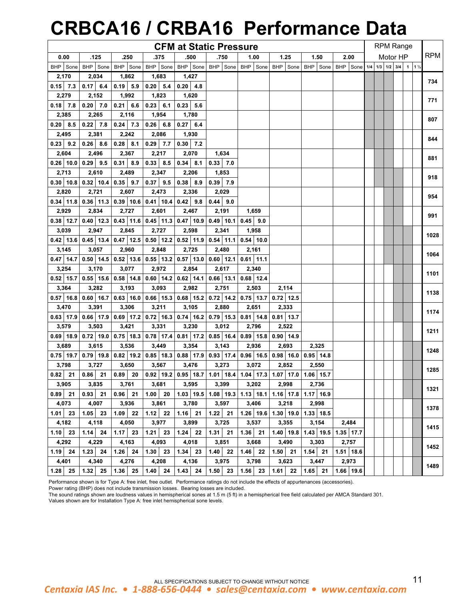# **CRBCA16 / CRBA16 Performance Data**

|                      |                               |                       |                             | <b>CFM at Static Pressure</b>                                                                                                         |                             |             |                                           |             |                                    |  | <b>RPM Range</b> |  |            |
|----------------------|-------------------------------|-----------------------|-----------------------------|---------------------------------------------------------------------------------------------------------------------------------------|-----------------------------|-------------|-------------------------------------------|-------------|------------------------------------|--|------------------|--|------------|
| 0.00                 | .125                          | .250                  | .375                        | .500                                                                                                                                  | .750                        | 1.00        | 1.25                                      | 1.50        | 2.00                               |  | Motor HP         |  | <b>RPM</b> |
| BHP Sone             | BHP Sone                      | BHP Sone              | BHP Sone                    | BHP Sone                                                                                                                              | BHP Sone                    | BHP Sone    | BHP Sone                                  | BHP Sone    | BHP Sone 1/4 1/3 1/2 3/4 1 1 1 1/2 |  |                  |  |            |
| 2,170                | 2,034                         | 1,862                 | 1,683                       | 1,427                                                                                                                                 |                             |             |                                           |             |                                    |  |                  |  |            |
| $0.15$ 7.3           | $0.17$ 6.4                    | $0.19$ 5.9            | $0.20$ 5.4                  | 4.8<br>0.20                                                                                                                           |                             |             |                                           |             |                                    |  |                  |  | 734        |
| 2,279                | 2,152                         | 1,992                 | 1,823                       | 1,620                                                                                                                                 |                             |             |                                           |             |                                    |  |                  |  |            |
| $0.18$ 7.8           | $0.20$ 7.0                    | 0.21<br>6.6           | $0.23$ 6.1                  | $0.23$ 5.6                                                                                                                            |                             |             |                                           |             |                                    |  |                  |  | 771        |
| 2,385                | 2,265                         | 2,116                 | 1,954                       | 1,780                                                                                                                                 |                             |             |                                           |             |                                    |  |                  |  | 807        |
| $0.20 \,   \, 8.5$   | $0.22$ 7.8                    | $0.24$ 7.3            | $0.26 \, 6.8$               | $0.27 \;   \; 6.4$                                                                                                                    |                             |             |                                           |             |                                    |  |                  |  |            |
| 2,495                | 2,381                         | 2,242                 | 2,086                       | 1,930                                                                                                                                 |                             |             |                                           |             |                                    |  |                  |  | 844        |
| $0.23$   $9.2$       | 0.26<br>8.6                   | 0.28<br>8.1           | $0.29$ 7.7                  | $0.30$ 7.2                                                                                                                            |                             |             |                                           |             |                                    |  |                  |  |            |
| 2,604                | 2,496                         | 2,367                 | 2,217                       | 2,070                                                                                                                                 | 1,634                       |             |                                           |             |                                    |  |                  |  | 881        |
| $0.26$ 10.0          | $0.29$ 9.5                    | 0.31<br>8.9           | $0.33 \,   \, 8.5$          | 0.34<br>8.1                                                                                                                           | 7.0<br>0.33                 |             |                                           |             |                                    |  |                  |  |            |
| 2,713                | 2,610                         | 2,489                 | 2,347                       | 2,206                                                                                                                                 | 1,853                       |             |                                           |             |                                    |  |                  |  | 918        |
| $0.30$ 10.8          | $0.32$ 10.4                   | $0.35$ 9.7            | $0.37$ 9.5                  | $0.38$ 8.9                                                                                                                            | 0.39<br>7.9                 |             |                                           |             |                                    |  |                  |  |            |
| 2,820                | 2,721                         | 2,607                 | 2,473                       | 2,336                                                                                                                                 | 2,029                       |             |                                           |             |                                    |  |                  |  | 954        |
| $0.34$   11.8        | 0.36 11.3 0.39 10.6 0.41 10.4 |                       |                             | $0.42$ 9.8                                                                                                                            | $0.44$   9.0                |             |                                           |             |                                    |  |                  |  |            |
| 2,929                | 2,834                         | 2,727                 | 2,601                       | 2,467                                                                                                                                 | 2,191                       | 1,659       |                                           |             |                                    |  |                  |  | 991        |
| $0.38$ 12.7          | $0.40$ 12.3                   | $0.43$ 11.6           | $0.45$ 11.3                 | $0.47$ 10.9                                                                                                                           | $0.49$ 10.1                 | $0.45$ 9.0  |                                           |             |                                    |  |                  |  |            |
| 3,039                | 2,947                         | 2,845                 | 2,727                       | 2,598                                                                                                                                 | 2,341                       | 1,958       |                                           |             |                                    |  |                  |  | 1028       |
| $0.42$ 13.6          | $0.45$ 13.4                   |                       |                             | $0.47$   12.5   0.50   12.2   0.52   11.9                                                                                             | $0.54$ 11.1                 | $0.54$ 10.0 |                                           |             |                                    |  |                  |  |            |
| 3,145                | 3,057                         | 2,960                 | 2,848                       | 2,725                                                                                                                                 | 2,480                       | 2,161       |                                           |             |                                    |  |                  |  | 1064       |
| $0.47$ 14.7          |                               | $0.50$ 14.5 0.52 13.6 | $0.55$ 13.2                 | $0.57$ 13.0                                                                                                                           | $0.60$   12.1               | $0.61$ 11.1 |                                           |             |                                    |  |                  |  |            |
| 3,254                | 3,170                         | 3,077                 | 2,972                       | 2,854                                                                                                                                 | 2,617                       | 2,340       |                                           |             |                                    |  |                  |  | 1101       |
| $0.52$ 15.7          |                               |                       |                             | $0.55$   15.6   0.58   14.8   0.60   14.2   0.62   14.1                                                                               | $0.66$ 13.1                 | $0.68$ 12.4 |                                           |             |                                    |  |                  |  |            |
| 3,364                | 3,282                         | 3,193                 | 3,093                       | 2,982                                                                                                                                 | 2,751                       | 2,503       | 2,114                                     |             |                                    |  |                  |  | 1138       |
| $0.57$ 16.8          | $0.60$ 16.7                   |                       | $0.63$   16.0   0.66   15.3 | $0.68$ 15.2                                                                                                                           | $0.72$ 14.2                 | $0.75$ 13.7 | $0.72$ 12.5                               |             |                                    |  |                  |  |            |
| 3,470                | 3,391                         | 3,306                 | 3,211                       | 3,105                                                                                                                                 | 2,880                       | 2,651       | 2,333                                     |             |                                    |  |                  |  | 1174       |
| $0.63$   17.9        |                               |                       |                             | $0.66$   17.9 $\vert 0.69$   17.2 $\vert 0.72$   16.3 $\vert 0.74$   16.2 $\vert 0.79$   15.3 $\vert 0.81$   14.8 $\vert 0.81$   13.7 |                             |             |                                           |             |                                    |  |                  |  |            |
| 3,579                | 3,503                         | 3,421                 | 3,331                       | 3,230                                                                                                                                 | 3,012                       | 2,796       | 2,522                                     |             |                                    |  |                  |  | 1211       |
| $0.69$ 18.9          | $0.72$ 19.0                   |                       | $0.75$   18.3   0.78   17.4 | $0.81$ 17.2                                                                                                                           | $0.85$ 16.4                 | $0.89$ 15.8 | $0.90$ 14.9                               |             |                                    |  |                  |  |            |
| 3,689                | 3,615                         | 3,536                 | 3,449                       | 3,354                                                                                                                                 | 3,143                       | 2,936       | 2,693                                     | 2,325       |                                    |  |                  |  | 1248       |
| $0.75$ 19.7          | $0.79$ 19.8                   |                       |                             | $0.82$   19.2   0.85   18.3   0.88   17.9   0.93   17.4   0.96   16.5   0.98   16.0                                                   |                             |             |                                           | $0.95$ 14.8 |                                    |  |                  |  |            |
| 3,798                | 3,727                         | 3,650                 | 3,567                       | 3,476                                                                                                                                 | 3,273                       | 3,072       | 2,852                                     | 2,550       |                                    |  |                  |  | 1285       |
| $0.82$ $\vert$<br>21 | $0.86$ 21                     | $0.89$ 20             |                             | $0.92$   19.2   0.95   18.7   1.01   18.4   1.04   17.3   1.07   17.0                                                                 |                             |             |                                           | $1.06$ 15.7 |                                    |  |                  |  |            |
| 3,905                | 3,835                         | 3,761                 | 3,681                       | 3,595                                                                                                                                 | 3,399                       | 3,202       | 2,998                                     | 2,736       |                                    |  |                  |  | 1321       |
| $0.89$ 21            | $0.93$ 21                     | $0.96$ 21             | $1.00$ 20                   |                                                                                                                                       | $1.03$   19.5   1.08   19.3 |             | $1.13$   18.1   1.16   17.8   1.17   16.9 |             |                                    |  |                  |  |            |
| 4,073                | 4,007                         | 3,936                 | 3,861                       | 3,780                                                                                                                                 | 3,597                       | 3,406       | 3,218                                     | 2,998       |                                    |  |                  |  | 1378       |
| $1.01$ 23            | $1.05$ 23                     | $1.09$ 22             | $1.12$ 22                   | $1.16$ 21                                                                                                                             | $1.22$ 21                   | $1.26$ 19.6 | $1.30$ 19.0                               | 1.33 18.5   |                                    |  |                  |  |            |
| 4,182                | 4,118                         | 4,050                 | 3,977                       | 3,899                                                                                                                                 | 3,725                       | 3,537       | 3,355                                     | 3,154       | 2,484                              |  |                  |  | 1415       |
| $1.10$ 23            | $1.14$ 24                     | $1.17$ 23             | $1.21$ 23                   | $1.24$ 22                                                                                                                             | $1.31$ 21                   | $1.36$ 21   | $1.40$ 19.8                               | $1.43$ 19.5 | $1.35$ 17.7                        |  |                  |  |            |
| 4,292                | 4,229                         | 4,163                 | 4,093                       | 4,018                                                                                                                                 | 3,851                       | 3,668       | 3,490                                     | 3,303       | 2,757                              |  |                  |  | 1452       |
| $1.19$ 24            | $1.23$ 24                     | $1.26$ 24             | $1.30$ 23                   | 1.34<br>23                                                                                                                            | 1.40<br>22                  | $1.46$ 22   | $1.50$ 21                                 | $1.54$ 21   | $1.51$ 18.6                        |  |                  |  |            |
| 4,401                | 4,340                         | 4,276                 | 4,208                       | 4,136                                                                                                                                 | 3,975                       | 3,798       | 3,623                                     | 3,447       | 2,973                              |  |                  |  | 1489       |
| $1.28$ 25            | $1.32$ 25                     | $1.36$ 25             | $1.40$ 24                   | $1.43 \ 24$                                                                                                                           | $1.50$ 23                   | $1.56$ 23   | $1.61$ 22                                 | $1.65$ 21   | 1.66 19.6                          |  |                  |  |            |

### Performance shown is for Type A: free inlet, free outlet. Performance ratings do not include the effects of appurtenances (accessories).

Power rating (BHP) does not include transmission losses. Bearing losses are included.

The sound ratings shown are loudness values in hemispherical sones at 1.5 m (5 ft) in a hemispherical free field calculated per AMCA Standard 301.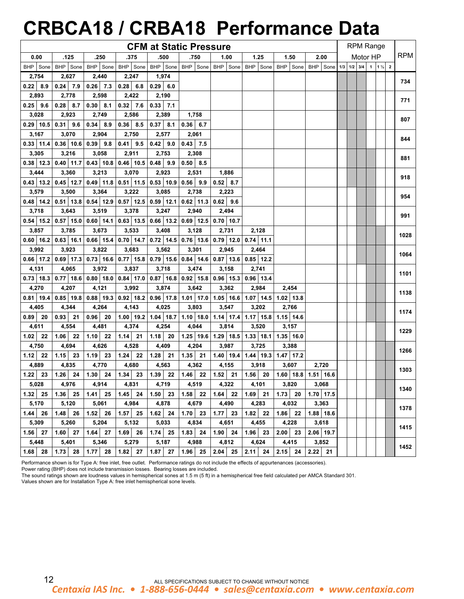# **CRBCA18 / CRBA18 Performance Data**

|                    |             |                             |               | <b>CFM at Static Pressure</b>                           |                    |                                                         |                                                       |                                                                                                |             |  |          | <b>RPM Range</b> |            |
|--------------------|-------------|-----------------------------|---------------|---------------------------------------------------------|--------------------|---------------------------------------------------------|-------------------------------------------------------|------------------------------------------------------------------------------------------------|-------------|--|----------|------------------|------------|
| 0.00               | .125        | .250                        | .375          | .500                                                    | .750               | 1.00                                                    | 1.25                                                  | 1.50                                                                                           | 2.00        |  | Motor HP |                  | <b>RPM</b> |
| BHP Sone           | BHP Sone    | BHP Sone                    | BHP Sone      | BHP Sone                                                |                    |                                                         |                                                       | BHP Sone   BHP   Sone   BHP   Sone   BHP   Sone   BHP   Sone   1/3   1/2   3/4   1   1 1/2   2 |             |  |          |                  |            |
| 2,754              | 2,627       | 2,440                       | 2,247         | 1,974                                                   |                    |                                                         |                                                       |                                                                                                |             |  |          |                  |            |
| $0.22 \,   \, 8.9$ | $0.24$ 7.9  | $0.26$ 7.3                  | 0.28<br>6.8   | 0.29<br>6.0                                             |                    |                                                         |                                                       |                                                                                                |             |  |          |                  | 734        |
| 2,893              | 2,778       | 2,598                       | 2,422         | 2,190                                                   |                    |                                                         |                                                       |                                                                                                |             |  |          |                  | 771        |
| $0.25$ 9.6         | 0.28<br>8.7 | 0.30<br>8.1                 | $0.32$ 7.6    | $0.33$ 7.1                                              |                    |                                                         |                                                       |                                                                                                |             |  |          |                  |            |
| 3,028              | 2,923       | 2,749                       | 2,586         | 2,389                                                   | 1,758              |                                                         |                                                       |                                                                                                |             |  |          |                  | 807        |
| $0.29$ 10.5        | 0.31<br>9.6 | 0.34<br>8.9                 | $0.36$ 8.5    | 0.37<br>8.1                                             | $0.36 \,   \, 6.7$ |                                                         |                                                       |                                                                                                |             |  |          |                  |            |
| 3,167              | 3,070       | 2,904                       | 2,750         | 2,577                                                   | 2,061              |                                                         |                                                       |                                                                                                |             |  |          |                  | 844        |
| $0.33$ 11.4        | $0.36$ 10.6 | 0.39<br>9.8                 | $0.41$ 9.5    | 0.42<br>9.0                                             | $0.43$ 7.5         |                                                         |                                                       |                                                                                                |             |  |          |                  |            |
| 3,305              | 3,216       | 3,058                       | 2,911         | 2,753                                                   | 2,308              |                                                         |                                                       |                                                                                                |             |  |          |                  | 881        |
| $0.38$   12.3      | $0.40$ 11.7 | $0.43$ 10.8                 | $0.46$ 10.5   | $0.48$ 9.9                                              | $0.50$ 8.5         |                                                         |                                                       |                                                                                                |             |  |          |                  |            |
| 3,444              | 3,360       | 3,213                       | 3,070         | 2,923                                                   | 2,531              | 1,886                                                   |                                                       |                                                                                                |             |  |          |                  | 918        |
| $0.43$ 13.2        | $0.45$ 12.7 | $0.49$ 11.8                 | $0.51$ 11.5   | $0.53$ 10.9                                             | 9.9<br>0.56        | 0.52<br>8.7                                             |                                                       |                                                                                                |             |  |          |                  |            |
| 3,579              | 3,500       | 3,364                       | 3,222         | 3,085                                                   | 2,738              | 2,223                                                   |                                                       |                                                                                                |             |  |          |                  | 954        |
| $0.48$   14.2      | $0.51$ 13.8 | $0.54$   12.9   0.57   12.5 |               | $0.59$ 12.1                                             | $0.62$ 11.3        | $0.62$ 9.6                                              |                                                       |                                                                                                |             |  |          |                  |            |
| 3,718              | 3,643       | 3,519                       | 3,378         | 3,247                                                   | 2,940              | 2,494                                                   |                                                       |                                                                                                |             |  |          |                  | 991        |
| $0.54$ 15.2        | $0.57$ 15.0 | $0.60$ 14.1                 | $0.63$   13.5 | $0.66$ 13.2                                             |                    | $0.69$   12.5   0.70   10.7                             |                                                       |                                                                                                |             |  |          |                  |            |
| 3,857              | 3,785       | 3,673                       | 3,533         | 3,408                                                   | 3,128              | 2,731                                                   | 2,128                                                 |                                                                                                |             |  |          |                  | 1028       |
| $0.60$   16.2      | $0.63$ 16.1 | $0.66$   15.4               | $0.70$ 14.7   |                                                         |                    | $0.72$   14.5   0.76   13.6   0.79   12.0   0.74   11.1 |                                                       |                                                                                                |             |  |          |                  |            |
| 3,992              | 3,923       | 3,822                       | 3,683         | 3,562                                                   | 3,301              | 2,945                                                   | 2,464                                                 |                                                                                                |             |  |          |                  | 1064       |
| $0.66$   17.2      | $0.69$ 17.3 | $0.73$ 16.6                 | $0.77$ 15.8   | $0.79$ 15.6                                             |                    | $0.84$   14.6   0.87   13.6                             | $0.85$ 12.2                                           |                                                                                                |             |  |          |                  |            |
| 4,131              | 4,065       | 3,972                       | 3,837         | 3,718                                                   | 3,474              | 3,158                                                   | 2,741                                                 |                                                                                                |             |  |          |                  | 1101       |
| $0.73$ 18.3        | $0.77$ 18.6 | $0.80$ 18.0                 |               | $0.84$   17.0   0.87   16.8   0.92   15.8   0.96   15.3 |                    |                                                         | $0.96$ 13.4                                           |                                                                                                |             |  |          |                  |            |
| 4,270              | 4,207       | 4,121                       | 3,992         | 3,874                                                   | 3,642              | 3,362                                                   | 2,984                                                 | 2,454                                                                                          |             |  |          |                  | 1138       |
| $0.81$ 19.4        | $0.85$ 19.8 | $0.88$ 19.3                 | $0.92$ 18.2   | $0.96$ 17.8                                             |                    | $1.01$   17.0   1.05   16.6                             | $1.07$   14.5                                         | $1.02$ 13.8                                                                                    |             |  |          |                  |            |
| 4,405              | 4,344       | 4,264                       | 4,143         | 4,025                                                   | 3,803              | 3,547                                                   | 3,202                                                 | 2,766                                                                                          |             |  |          |                  | 1174       |
| 0.89<br>20         | 0.93<br>21  | 0.96<br>20                  | $1.00$   19.2 | $1.04$ 18.7                                             |                    |                                                         | 1.10   18.0   1.14   17.4   1.17   15.8   1.15   14.6 |                                                                                                |             |  |          |                  |            |
| 4,611              | 4,554       | 4,481                       | 4,374         | 4,254                                                   | 4,044              | 3,814                                                   | 3,520                                                 | 3,157                                                                                          |             |  |          |                  | 1229       |
| 22<br>1.02         | 22<br>1.06  | 1.10<br>22                  | 1.14<br>21    | 1.18<br>20                                              |                    |                                                         | 1.25   19.6   1.29   18.5   1.33   18.1               | $1.35$ 16.0                                                                                    |             |  |          |                  |            |
| 4,750              | 4,694       | 4,626                       | 4,528         | 4,409                                                   | 4,204              | 3,987                                                   | 3,725                                                 | 3,388                                                                                          |             |  |          |                  | 1266       |
| 1.12<br>22         | 1.15<br>23  | 1.19<br>23                  | 1.24<br>22    | 1.28<br>21                                              | 1.35<br>21         |                                                         | $1.40$   19.4   1.44   19.3   1.47   17.2             |                                                                                                |             |  |          |                  |            |
| 4,889              | 4,835       | 4,770                       | 4,680         | 4,563                                                   | 4,362              | 4,155                                                   | 3,918                                                 | 3,607                                                                                          | 2,720       |  |          |                  | 1303       |
| 1.22<br>23         | 1.26<br>24  | 1.30<br>24                  | 1.34<br>23    | 1.39<br>22                                              | 1.46<br>22         | 1.52<br>21                                              | $1.56$ 20                                             | $1.60$   18.8   1.51   16.6                                                                    |             |  |          |                  |            |
| 5,028              | 4,976       | 4,914                       | 4,831         | 4,719                                                   | 4,519              | 4,322                                                   | 4,101                                                 | 3,820                                                                                          | 3,068       |  |          |                  | 1340       |
| $1.32$<br>25       | 1.36<br>25  | 1.41<br>25                  | $1.45$ 24     | $1.50$ 23                                               | 1.58<br>22         | 1.64<br>22                                              | $1.69$ 21                                             | $1.73$ 20                                                                                      | $1.70$ 17.5 |  |          |                  |            |
| 5,170              | 5,120       | 5,061                       | 4,984         | 4,878                                                   | 4,679              | 4,490                                                   | 4,283                                                 | 4,032                                                                                          | 3,363       |  |          |                  | 1378       |
| 1.44<br>26         | 1.48<br>26  | 1.52<br>26                  | 1.57<br>25    | 24<br>1.62                                              | 1.70<br>23         | 23<br>1.77                                              | 1.82<br>22                                            | $1.86$ 22                                                                                      | $1.88$ 18.6 |  |          |                  |            |
| 5,309              | 5,260       | 5,204                       | 5,132         | 5,033                                                   | 4,834              | 4,651                                                   | 4,455                                                 | 4,228                                                                                          | 3,618       |  |          |                  | 1415       |
| 1.56<br>27         | 1.60<br>27  | 1.64<br>27                  | 26<br>1.69    | $1.74$ 25                                               | 1.83<br>24         | 1.90<br>24                                              | 1.96<br>23                                            | 2.00<br>23                                                                                     | $2.06$ 19.7 |  |          |                  |            |
| 5,448              | 5,401       | 5,346                       | 5,279         | 5,187                                                   | 4,988              | 4,812                                                   | 4,624                                                 | 4,415                                                                                          | 3,852       |  |          |                  | 1452       |
| 1.68<br>28         | 1.73<br>28  | 1.77<br>28                  | 1.82<br>27    | 1.87<br>27                                              | 1.96<br>25         | 2.04<br>25                                              | 2.11<br>24                                            | 2.15<br>24                                                                                     | 2.22<br>21  |  |          |                  |            |

Performance shown is for Type A: free inlet, free outlet. Performance ratings do not include the effects of appurtenances (accessories).

Power rating (BHP) does not include transmission losses. Bearing losses are included.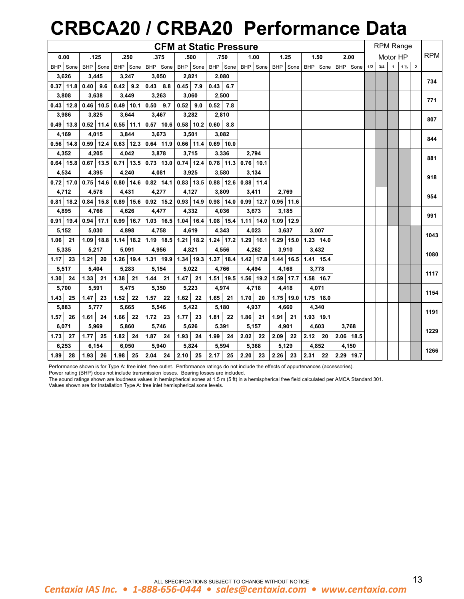## **CRBCA20 / CRBA20 Performance Data**

|                    |             |               |                             | <b>CFM at Static Pressure</b>           |              |                             |              |                   |             |     |     |                | <b>RPM Range</b> |            |
|--------------------|-------------|---------------|-----------------------------|-----------------------------------------|--------------|-----------------------------|--------------|-------------------|-------------|-----|-----|----------------|------------------|------------|
| 0.00               | .125        | .250          | .375                        | .500                                    | .750         | 1.00                        | 1.25         | 1.50              | 2.00        |     |     | Motor HP       |                  | <b>RPM</b> |
| BHP Sone           | BHP Sone    | BHP Sone      | BHP Sone                    | BHP Sone                                |              | BHP Sone BHP Sone           |              | BHP Sone BHP Sone | BHP Sone    | 1/2 | 3/4 | $\overline{1}$ | $1\frac{1}{2}$ 2 |            |
| 3,626              | 3,445       | 3,247         | 3,050                       | 2,821                                   | 2,080        |                             |              |                   |             |     |     |                |                  | 734        |
| $0.37$ 11.8        | $0.40$ 9.6  | $0.42$ 9.2    | $0.43 \,   \, 8.8$          | $0.45$ 7.9                              | $0.43 \ 6.7$ |                             |              |                   |             |     |     |                |                  |            |
| 3,808              | 3,638       | 3,449         | 3,263                       | 3,060                                   | 2,500        |                             |              |                   |             |     |     |                |                  | 771        |
| $0.43$ 12.8        | $0.46$ 10.5 | $0.49$ 10.1   | $0.50$ 9.7                  | $0.52$ 9.0                              | $0.52$ 7.8   |                             |              |                   |             |     |     |                |                  |            |
| 3,986              | 3,825       | 3,644         | 3,467                       | 3,282                                   | 2,810        |                             |              |                   |             |     |     |                |                  | 807        |
| $0.49$ 13.8        | $0.52$ 11.4 | $0.55$ 11.1   | $0.57$ 10.6                 | $0.58$ 10.2                             | $0.60$ 8.8   |                             |              |                   |             |     |     |                |                  |            |
| 4,169              | 4,015       | 3,844         | 3,673                       | 3,501                                   | 3,082        |                             |              |                   |             |     |     |                |                  | 844        |
| $0.56$ 14.8        | $0.59$ 12.4 | $0.63$   12.3 | $0.64$ 11.9                 | $0.66$ 11.4                             | $0.69$ 10.0  |                             |              |                   |             |     |     |                |                  |            |
| 4,352              | 4,205       | 4,042         | 3,878                       | 3,715                                   | 3,336        | 2,794                       |              |                   |             |     |     |                |                  | 881        |
| $0.64$ 15.8        | $0.67$ 13.5 |               | $0.71$   13.5   0.73   13.0 | $0.74$ 12.4                             | $0.78$ 11.3  | $0.76$ 10.1                 |              |                   |             |     |     |                |                  |            |
| 4,534              | 4,395       | 4,240         | 4,081                       | 3,925                                   | 3,580        | 3,134                       |              |                   |             |     |     |                |                  | 918        |
| $0.72$ 17.0        | $0.75$ 14.6 |               | $0.80$   14.6   0.82   14.1 | $0.83$ 13.5                             | $0.88$ 12.6  | $0.88$ 11.4                 |              |                   |             |     |     |                |                  |            |
| 4,712              | 4,578       | 4,431         | 4,277                       | 4,127                                   | 3,809        | 3,411                       | 2.769        |                   |             |     |     |                |                  | 954        |
| $0.81$ 18.2        | $0.84$ 15.8 | $0.89$ 15.6   | $0.92$ 15.2                 | $0.93$ 14.9                             | $0.98$ 14.0  | $0.99$ 12.7                 | $0.95$ 11.6  |                   |             |     |     |                |                  |            |
| 4,895              | 4,766       | 4,626         | 4,477                       | 4,332                                   | 4,036        | 3,673                       | 3,185        |                   |             |     |     |                |                  | 991        |
| $0.91$ 19.4        | $0.94$ 17.1 | $0.99$ 16.7   |                             | $1.03$ 16.5 1.04 16.4                   | 1.08 15.4    | $1.11$ 14.0                 | $1.09$ 12.9  |                   |             |     |     |                |                  |            |
| 5,152              | 5,030       | 4,898         | 4,758                       | 4,619                                   | 4,343        | 4,023                       | 3,637        | 3,007             |             |     |     |                |                  | 1043       |
| $\vert$ 21<br>1.06 | $1.09$ 18.8 | $1.14$ 18.2   |                             | $1.19$   18.5   1.21   18.2             | $1.24$ 17.2  | $1.29$ 16.1                 | $1.29$ 15.0  | $1.23$ 14.0       |             |     |     |                |                  |            |
| 5,335              | 5,217       | 5,091         | 4,956                       | 4,821                                   | 4,556        | 4,262                       | 3,910        | 3,432             |             |     |     |                |                  | 1080       |
| $1.17$ 23          | 1.21<br>20  |               |                             | 1.26   19.4   1.31   19.9   1.34   19.3 |              | $1.37$   18.4   1.42   17.8 | $1.44$ 16.5  | $1.41$ 15.4       |             |     |     |                |                  |            |
| 5,517              | 5,404       | 5,283         | 5,154                       | 5,022                                   | 4,766        | 4,494                       | 4,168        | 3,778             |             |     |     |                |                  | 1117       |
| 1.30<br>24         | 1.33<br>21  | 1.38<br>21    | 1.44<br>21                  | 1.47<br>21                              | $1.51$ 19.5  | $1.56$ 19.2                 | $1.59$ 17.7  | $1.58$ 16.7       |             |     |     |                |                  |            |
| 5,700              | 5,591       | 5,475         | 5,350                       | 5,223                                   | 4,974        | 4,718                       | 4,418        | 4,071             |             |     |     |                |                  | 1154       |
| 1.43<br>25         | 1.47<br>23  | 1.52<br>22    | 1.57<br>22                  | 1.62<br>22                              | 1.65<br>21   | 1.70<br>20                  | $1.75$ 19.0  | $1.75$ 18.0       |             |     |     |                |                  |            |
| 5,883              | 5,777       | 5,665         | 5,546                       | 5,422                                   | 5,180        | 4,937                       | 4,660        | 4,340             |             |     |     |                |                  | 1191       |
| 1.57<br>26         | 1.61<br>24  | 1.66<br>22    | 1.72<br>23                  | 1.77<br>23                              | 1.81<br>22   | 1.86<br>21                  | 1.91<br>- 21 | $1.93$ 19.1       |             |     |     |                |                  |            |
| 6,071              | 5,969       | 5,860         | 5,746                       | 5,626                                   | 5,391        | 5,157                       | 4,901        | 4,603             | 3,768       |     |     |                |                  | 1229       |
| 1.73<br>27         | 1.77<br>25  | 1.82<br>24    | 1.87<br>24                  | 1.93<br>24                              | 1.99<br>24   | 2.02<br>22                  | 2.09<br>22   | 2.12<br>20        | $2.06$ 18.5 |     |     |                |                  |            |
| 6,253              | 6,154       | 6,050         | 5,940                       | 5,824                                   | 5,594        | 5,368                       | 5,129        | 4,852             | 4,150       |     |     |                |                  | 1266       |
| 1.89<br>28         | 1.93 <br>26 | $1.98$ 25     | $2.04$ 24                   | 2.10<br>25                              | 2.17<br>25   | $2.20$ 23                   | 2.26<br>- 23 | 2.31<br>22        | 2.29 19.7   |     |     |                |                  |            |

### Performance shown is for Type A: free inlet, free outlet. Performance ratings do not include the effects of appurtenances (accessories).

Power rating (BHP) does not include transmission losses. Bearing losses are included.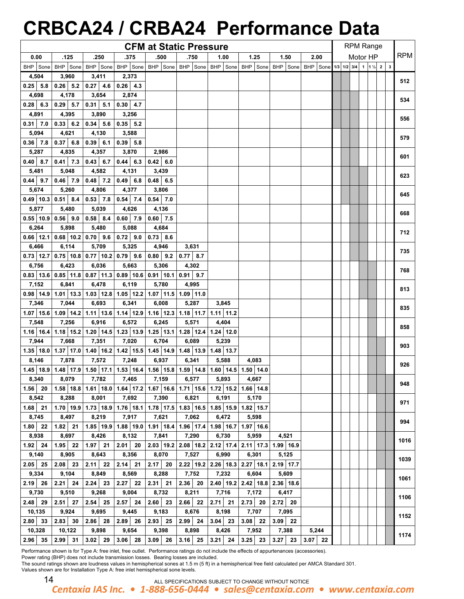# **CRBCA24 / CRBA24 Performance Data**

|                  |                                                                                                               |              |              | <b>CFM at Static Pressure</b> |                   |           |                                                                                                                        |           |           |  | <b>RPM Range</b> |          |  |            |
|------------------|---------------------------------------------------------------------------------------------------------------|--------------|--------------|-------------------------------|-------------------|-----------|------------------------------------------------------------------------------------------------------------------------|-----------|-----------|--|------------------|----------|--|------------|
| 0.00             | .125                                                                                                          | .250         | .375         | .500                          | .750              | 1.00      | 1.25                                                                                                                   | 1.50      | 2.00      |  |                  | Motor HP |  | <b>RPM</b> |
| BHP Sone         |                                                                                                               |              |              |                               |                   |           | BHP Sone BHP Sone BHP Sone BHP Sone BHP Sone BHP Sone BHP Sone BHP Sone BHP Sone BHP Sone BHP Sone 1/3 1/2 3/4 1 1/2 2 |           |           |  |                  |          |  |            |
| 4,504            | 3,960                                                                                                         | 3,411        | 2,373        |                               |                   |           |                                                                                                                        |           |           |  |                  |          |  |            |
| $0.25$ 5.8       | $0.26$ 5.2                                                                                                    | $ 0.27 $ 4.6 | $0.26$ 4.3   |                               |                   |           |                                                                                                                        |           |           |  |                  |          |  | 512        |
| 4,698            | 4,178                                                                                                         | 3,654        | 2,874        |                               |                   |           |                                                                                                                        |           |           |  |                  |          |  |            |
| $0.28$ 6.3       | $0.29$ 5.7                                                                                                    | $0.31$ 5.1   | $0.30$ 4.7   |                               |                   |           |                                                                                                                        |           |           |  |                  |          |  | 534        |
| 4,891            | 4,395                                                                                                         | 3,890        | 3,256        |                               |                   |           |                                                                                                                        |           |           |  |                  |          |  |            |
| $0.31$ 7.0       | $0.33 \ 6.2$                                                                                                  | $0.34$ 5.6   | $0.35$ 5.2   |                               |                   |           |                                                                                                                        |           |           |  |                  |          |  | 556        |
| 5,094            | 4,621                                                                                                         | 4,130        | 3,588        |                               |                   |           |                                                                                                                        |           |           |  |                  |          |  |            |
| $0.36$ 7.8       | $0.37$ 6.8                                                                                                    | $0.39$ 6.1   | $0.39$ 5.8   |                               |                   |           |                                                                                                                        |           |           |  |                  |          |  | 579        |
| 5,287            | 4,835                                                                                                         | 4,357        | 3,870        | 2,986                         |                   |           |                                                                                                                        |           |           |  |                  |          |  |            |
| $0.40 \quad 8.7$ | $0.41$ 7.3                                                                                                    | $0.43 \ 6.7$ | $0.44 \ 6.3$ | $0.42 \ 6.0$                  |                   |           |                                                                                                                        |           |           |  |                  |          |  | 601        |
| 5,481            | 5,048                                                                                                         | 4,582        | 4,131        | 3,439                         |                   |           |                                                                                                                        |           |           |  |                  |          |  |            |
| $0.44$ 9.7       | $0.46$ 7.9                                                                                                    | $0.48$ 7.2   | $0.49$ 6.8   | $0.48 \quad 6.5$              |                   |           |                                                                                                                        |           |           |  |                  |          |  | 623        |
| 5,674            | 5,260                                                                                                         | 4,806        | 4,377        | 3,806                         |                   |           |                                                                                                                        |           |           |  |                  |          |  |            |
|                  |                                                                                                               |              |              |                               |                   |           |                                                                                                                        |           |           |  |                  |          |  | 645        |
|                  | $0.49$   10.3   0.51   8.4                                                                                    | $0.53$ 7.8   | $0.54$ 7.4   | $0.54$ 7.0                    |                   |           |                                                                                                                        |           |           |  |                  |          |  |            |
| 5,877            | 5,480                                                                                                         | 5,039        | 4,626        | 4,136                         |                   |           |                                                                                                                        |           |           |  |                  |          |  | 668        |
|                  | $0.55$   10.9 0.56   9.0                                                                                      | $0.58$ 8.4   | $0.60$ 7.9   | $0.60$ 7.5                    |                   |           |                                                                                                                        |           |           |  |                  |          |  |            |
| 6,264            | 5,898                                                                                                         | 5,480        | 5,088        | 4,684                         |                   |           |                                                                                                                        |           |           |  |                  |          |  | 712        |
|                  | $0.66$   12.1   0.68   10.2   0.70   9.6                                                                      |              | $0.72$ 9.0   | $0.73$ 8.6                    |                   |           |                                                                                                                        |           |           |  |                  |          |  |            |
| 6,466            | 6,114                                                                                                         | 5,709        | 5,325        | 4,946                         | 3,631             |           |                                                                                                                        |           |           |  |                  |          |  | 735        |
|                  | $0.73$   12.7   0.75   10.8   0.77   10.2   0.79   9.6                                                        |              |              | $0.80$ 9.2 0.77 8.7           |                   |           |                                                                                                                        |           |           |  |                  |          |  |            |
| 6,756            | 6,423                                                                                                         | 6,036        | 5,663        | 5,306                         | 4,302             |           |                                                                                                                        |           |           |  |                  |          |  | 768        |
|                  | $0.83$   13.6   0.85   11.8   0.87   11.3   0.89   10.6   0.91   10.1   0.91   9.7                            |              |              |                               |                   |           |                                                                                                                        |           |           |  |                  |          |  |            |
| 7,152            | 6,841                                                                                                         | 6,478        | 6,119        | 5,780                         | 4,995             |           |                                                                                                                        |           |           |  |                  |          |  | 813        |
|                  | $0.98$   14.9   1.01   13.3   1.03   12.8   1.05   12.2   1.07   11.5   1.09   11.0                           |              |              |                               |                   |           |                                                                                                                        |           |           |  |                  |          |  |            |
| 7,346            | 7,044                                                                                                         | 6,693        | 6,341        | 6,008                         | 5,287             | 3,845     |                                                                                                                        |           |           |  |                  |          |  | 835        |
|                  | 1.07   15.6   1.09   14.2   1.11   13.6   1.14   12.9   1.16   12.3   1.18   11.7   1.11   11.2               |              |              |                               |                   |           |                                                                                                                        |           |           |  |                  |          |  |            |
| 7,548            | 7,256                                                                                                         | 6,916        | 6,572        | 6,245                         | 5,571             | 4,404     |                                                                                                                        |           |           |  |                  |          |  | 858        |
|                  | 1.16   16.4   1.18   15.2   1.20   14.5   1.23   13.9   1.25   13.1   1.28   12.4   1.24   12.0               |              |              |                               |                   |           |                                                                                                                        |           |           |  |                  |          |  |            |
| 7,944            | 7,668                                                                                                         | 7,351        | 7,020        | 6,704                         | 6,089             | 5,239     |                                                                                                                        |           |           |  |                  |          |  | 903        |
|                  | 1.35   18.0   1.37   17.0   1.40   16.2   1.42   15.5   1.45   14.9   1.48   13.9   1.48   13.7               |              |              |                               |                   |           |                                                                                                                        |           |           |  |                  |          |  |            |
| 8,146            | 7,878                                                                                                         | 7,572        | 7,248        | 6,937                         | 6,341             | 5,588     | 4,083                                                                                                                  |           |           |  |                  |          |  |            |
|                  | 1.45   18.9   1.48   17.9   1.50   17.1   1.53   16.4   1.56   15.8   1.59   14.8   1.60   14.5   1.50   14.0 |              |              |                               |                   |           |                                                                                                                        |           |           |  |                  |          |  | 926        |
| 8,340            |                                                                                                               | 8,079 7,782  |              | 7,465   7,159   6,577   5,893 |                   |           | 4,667                                                                                                                  |           |           |  |                  |          |  |            |
| $1.56$ 20        |                                                                                                               |              |              |                               |                   |           | 1.58   18.8   1.61   18.0   1.64   17.2   1.67   16.6   1.71   15.6   1.72   15.2   1.66   14.8                        |           |           |  |                  |          |  | 948        |
| 8,542            | 8,288                                                                                                         | 8,001        | 7,692        | 7,390                         | 6,821             | 6,191     | 5,170                                                                                                                  |           |           |  |                  |          |  |            |
| $1.68$ 21        |                                                                                                               |              |              |                               |                   |           | $1.70$   19.9   1.73   18.9   1.76   18.1   1.78   17.5   1.83   16.5   1.85   15.9   1.82   15.7                      |           |           |  |                  |          |  | 971        |
| 8,745            | 8,497                                                                                                         | 8,219        | 7,917        | 7,621                         | 7,062             | 6,472     | 5,598                                                                                                                  |           |           |  |                  |          |  |            |
| $1.80$ 22        | $1.82$ 21                                                                                                     |              |              |                               |                   |           | 1.85   19.9   1.88   19.0   1.91   18.4   1.96   17.4   1.98   16.7   1.97   16.6                                      |           |           |  |                  |          |  | 994        |
| 8,938            | 8,697                                                                                                         | 8,426        | 8,132        | 7,841                         | 7,290             | 6,730     | 5,959                                                                                                                  | 4,521     |           |  |                  |          |  |            |
| $1.92$ 24        | $1.95$ 22                                                                                                     | $1.97$ 21    | $2.01$ 20    |                               |                   |           | 2.03   19.2   2.08   18.2   2.12   17.4   2.11   17.3   1.99   16.9                                                    |           |           |  |                  |          |  | 1016       |
| 9,140            | 8,905                                                                                                         | 8,643        | 8,356        | 8,070                         | 7,527             | 6,990     | 6,301                                                                                                                  | 5,125     |           |  |                  |          |  |            |
| $2.05$ 25        | $2.08$ 23                                                                                                     | $2.11$ 22    | $2.14$ 21    |                               |                   |           | 2.17 20 2.22 19.2 2.26 18.3 2.27 18.1 2.19 17.7                                                                        |           |           |  |                  |          |  | 1039       |
| 9,334            | 9,104                                                                                                         | 8,849        | 8,569        | 8,288                         | 7,752             | 7,232     | 6,604                                                                                                                  | 5,609     |           |  |                  |          |  |            |
| $2.19$ 26        | $2.21 \ 24$                                                                                                   | $2.24$ 23    | $2.27$ 22    | $2.31$ 21                     |                   |           | 2.36 20 2.40 19.2 2.42 18.8 2.36 18.6                                                                                  |           |           |  |                  |          |  | 1061       |
| 9,730            | 9,510                                                                                                         | 9,268        | 9,004        | 8,732                         | 8,211             | 7,716     | 7,172                                                                                                                  | 6,417     |           |  |                  |          |  |            |
| 2.48 29          | $2.51$ 27                                                                                                     | $2.54$ 25    | $2.57$ 24    | $2.60$ 23                     | 2.66 22           | $2.71$ 21 | $2.73$ 20                                                                                                              | $2.72$ 20 |           |  |                  |          |  | 1106       |
| 10,135           | 9,924                                                                                                         | 9,695        | 9,445        | 9,183                         | 8,676             | 8,198     | 7,707                                                                                                                  | 7,095     |           |  |                  |          |  |            |
| 2.80 33          | 2.83 30                                                                                                       | $2.86$ 28    | $2.89$ 26    | $2.93$ 25                     | $2.99$ 24 3.04 23 |           | $3.08$ 22                                                                                                              | $3.09$ 22 |           |  |                  |          |  | 1152       |
| 10,328           | 10,122                                                                                                        | 9,898        | 9,654        | 9,398                         | 8,898             | 8,426     | 7,952                                                                                                                  | 7,388     | 5,244     |  |                  |          |  |            |
| $2.96$ 35        | $2.99$ 31                                                                                                     | $3.02$ 29    | $3.06$ 28    |                               |                   |           |                                                                                                                        |           | $3.07$ 22 |  |                  |          |  | 1174       |
|                  |                                                                                                               |              |              | $3.09$ 26                     |                   |           | $3.16$   25   3.21   24   3.25   23   3.27   23                                                                        |           |           |  |                  |          |  |            |

Performance shown is for Type A: free inlet, free outlet. Performance ratings do not include the effects of appurtenances (accessories).

Power rating (BHP) does not include transmission losses. Bearing losses are included.

|--|--|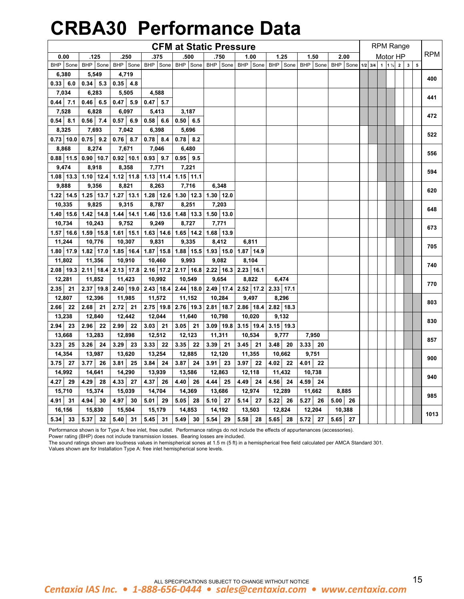# **CRBA30 Performance Data**

|                   |                    |              |                                           |                                                       | <b>CFM at Static Pressure</b>                         |             |             |                   |            |           |                |                | <b>RPM Range</b> |              |   |            |
|-------------------|--------------------|--------------|-------------------------------------------|-------------------------------------------------------|-------------------------------------------------------|-------------|-------------|-------------------|------------|-----------|----------------|----------------|------------------|--------------|---|------------|
| 0.00              | .125               | .250         | .375                                      | .500                                                  | .750                                                  | 1.00        | 1.25        | 1.50              | 2.00       |           |                |                | Motor HP         |              |   | <b>RPM</b> |
| BHP Sone          | <b>BHP</b><br>Sone | BHP Sone     |                                           |                                                       | BHP Sone BHP Sone BHP Sone                            | BHP Sone    |             | BHP Sone BHP Sone | BHP Sone   | $1/2$ 3/4 | 1 <sup>1</sup> | $1\frac{1}{2}$ | $\overline{2}$   | $\mathbf{3}$ | 5 |            |
| 6,380             | 5,549              | 4,719        |                                           |                                                       |                                                       |             |             |                   |            |           |                |                |                  |              |   | 400        |
| 0.33   6.0        | $0.34$ 5.3         | $0.35$ 4.8   |                                           |                                                       |                                                       |             |             |                   |            |           |                |                |                  |              |   |            |
| 7,034             | 6,283              | 5,505        | 4,588                                     |                                                       |                                                       |             |             |                   |            |           |                |                |                  |              |   | 441        |
| $0.44$ 7.1        | 0.46<br>6.5        | 0.47<br>5.9  | 0.47<br>5.7                               |                                                       |                                                       |             |             |                   |            |           |                |                |                  |              |   |            |
| 7,528             | 6,828              | 6,097        | 5,413                                     | 3,187                                                 |                                                       |             |             |                   |            |           |                |                |                  |              |   | 472        |
| $0.54$ $ $<br>8.1 | 0.56<br>7.4        | 0.57<br>6.9  | 0.58<br>6.6                               | 0.50<br>6.5                                           |                                                       |             |             |                   |            |           |                |                |                  |              |   |            |
| 8,325             | 7,693              | 7,042        | 6,398                                     | 5,696                                                 |                                                       |             |             |                   |            |           |                |                |                  |              |   |            |
| $0.73$ 10.0       | $0.75$ 9.2         | $0.76$ 8.7   | $0.78$ 8.4                                | $0.78$ 8.2                                            |                                                       |             |             |                   |            |           |                |                |                  |              |   | 522        |
| 8,868             | 8,274              | 7,671        | 7,046                                     | 6,480                                                 |                                                       |             |             |                   |            |           |                |                |                  |              |   |            |
| $0.88$ 11.5       | $0.90$ 10.7        | $0.92$ 10.1  | 0.93<br>9.7                               | 0.95<br>9.5                                           |                                                       |             |             |                   |            |           |                |                |                  |              |   | 556        |
| 9,474             | 8,918              | 8,358        | 7,771                                     | 7,221                                                 |                                                       |             |             |                   |            |           |                |                |                  |              |   |            |
| $1.08$   13.3     | $1.10$ 12.4        |              | $1.12$   11.8   1.13   11.4   1.15   11.1 |                                                       |                                                       |             |             |                   |            |           |                |                |                  |              |   | 594        |
| 9,888             | 9,356              | 8,821        | 8,263                                     | 7,716                                                 | 6,348                                                 |             |             |                   |            |           |                |                |                  |              |   |            |
| $1.22$   14.5     | $1.25$ 13.7        | $1.27$ 13.1  |                                           | $1.28$   12.6   1.30   12.3   1.30   12.0             |                                                       |             |             |                   |            |           |                |                |                  |              |   | 620        |
| 10,335            | 9,825              | 9,315        | 8,787                                     | 8,251                                                 | 7,203                                                 |             |             |                   |            |           |                |                |                  |              |   |            |
| $1.40$   15.6     | $1.42$ 14.8        | $1.44$ 14.1  |                                           | 1.46   13.6   1.48   13.3   1.50   13.0               |                                                       |             |             |                   |            |           |                |                |                  |              |   | 648        |
| 10,734            | 10,243             | 9,752        | 9,249                                     | 8,727                                                 | 7,771                                                 |             |             |                   |            |           |                |                |                  |              |   |            |
| $1.57$ 16.6       | $1.59$ 15.8        |              |                                           | 1.61   15.1   1.63   14.6   1.65   14.2   1.68   13.9 |                                                       |             |             |                   |            |           |                |                |                  |              |   | 673        |
| 11,244            | 10,776             | 10,307       | 9,831                                     | 9,335                                                 | 8,412                                                 | 6,811       |             |                   |            |           |                |                |                  |              |   |            |
| 1.80 17.9         | $1.82$ 17.0        | $1.85$ 16.4  |                                           |                                                       | $1.87$   15.8   1.88   15.5   1.93   15.0             | 1.87 14.9   |             |                   |            |           |                |                |                  |              |   | 705        |
| 11,802            | 11,356             | 10,910       | 10,460                                    | 9,993                                                 | 9,082                                                 | 8,104       |             |                   |            |           |                |                |                  |              |   |            |
| 2.08 19.3         | $2.11$ 18.4        |              |                                           |                                                       | 2.13   17.8   2.16   17.2   2.17   16.8   2.22   16.3 | $2.23$ 16.1 |             |                   |            |           |                |                |                  |              |   | 740        |
| 12,281            | 11,852             | 11,423       | 10,992                                    | 10,549                                                | 9,654                                                 | 8,822       | 6,474       |                   |            |           |                |                |                  |              |   |            |
| 21<br>2.35        | 2.37<br>19.8       | 2.40<br>19.0 | $2.43$ 18.4                               |                                                       | 2.44   18.0   2.49   17.4                             | $2.52$ 17.2 | $2.33$ 17.1 |                   |            |           |                |                |                  |              |   | 770        |
| 12,807            | 12,396             | 11,985       | 11,572                                    | 11,152                                                | 10,284                                                | 9.497       | 8,296       |                   |            |           |                |                |                  |              |   |            |
| 2.66  <br>22      | 2.68<br>21         | 2.72<br>21   | $2.75$ 19.8                               | 2.76 19.3                                             | $2.81$ 18.7                                           | 2.86 18.4   | $2.82$ 18.3 |                   |            |           |                |                |                  |              |   | 803        |
| 13,238            | 12,840             | 12,442       | 12,044                                    | 11,640                                                | 10,798                                                | 10,020      | 9,132       |                   |            |           |                |                |                  |              |   |            |
| 2.94  <br>23      | 2.96<br>22         | 2.99<br>22   | 3.03<br>21                                | 3.05<br>21                                            | $3.09$   19.8                                         | $3.15$ 19.4 | $3.15$ 19.3 |                   |            |           |                |                |                  |              |   | 830        |
| 13,668            | 13,283             | 12,898       | 12,512                                    | 12,123                                                | 11,311                                                | 10,534      | 9,777       | 7,950             |            |           |                |                |                  |              |   |            |
| 3.23<br>25        | 3.26<br>24         | 3.29<br>23   | 3.33<br>22                                | 3.35<br>22                                            | 3.39<br>21                                            | 3.45<br>21  | 3.48<br>20  | 3.33<br>20        |            |           |                |                |                  |              |   | 857        |
| 14,354            | 13,987             | 13,620       | 13,254                                    | 12,885                                                | 12,120                                                | 11,355      | 10,662      | 9,751             |            |           |                |                |                  |              |   |            |
| $3.75$ 27         | 3.77<br>26         | 3.81<br>25   | 3.84<br>24                                | 3.87<br>24                                            | 3.91<br>23                                            | 22<br>3.97  | 4.02<br>22  | 4.01  <br>22      |            |           |                |                |                  |              |   | 900        |
| 14,992            | 14,641             | 14,290       | 13,939                                    | 13,586                                                | 12,863                                                | 12,118      | 11,432      | 10,738            |            |           |                |                |                  |              |   |            |
| 29<br>4.27        | 4.29<br>28         | 4.33<br>27   | 4.37<br>26                                | 4.40<br>26                                            | 4.44<br>25                                            | 4.49<br>24  | 4.56<br>24  | 4.59<br>24        |            |           |                |                |                  |              |   | 940        |
| 15,710            | 15,374             | 15,039       | 14,704                                    | 14,369                                                | 13,686                                                | 12,974      | 12,289      | 11,662            | 8,885      |           |                |                |                  |              |   |            |
| 4.91<br>31        | 4.94<br>30         | 4.97<br>30   | 5.01<br>29                                | 5.05<br>28                                            | 5.10<br>27                                            | 5.14<br>27  | 5.22<br>26  | 5.27<br>26        | 5.00<br>26 |           |                |                |                  |              |   | 985        |
| 16,156            | 15,830             | 15,504       | 15,179                                    | 14,853                                                | 14,192                                                | 13,503      | 12,824      | 12,204            | 10,388     |           |                |                |                  |              |   |            |
| 5.34<br>33        | 5.37<br>32         | $5.40$ 31    | 5.45<br>31                                | 5.49 30                                               | 5.54<br>29                                            | 5.58 28     | 5.65 28     | $5.72$ 27         | $5.65$ 27  |           |                |                |                  |              |   | 1013       |

Performance shown is for Type A: free inlet, free outlet. Performance ratings do not include the effects of appurtenances (accessories).

Power rating (BHP) does not include transmission losses. Bearing losses are included.

The sound ratings shown are loudness values in hemispherical sones at 1.5 m (5 ft) in a hemispherical free field calculated per AMCA Standard 301.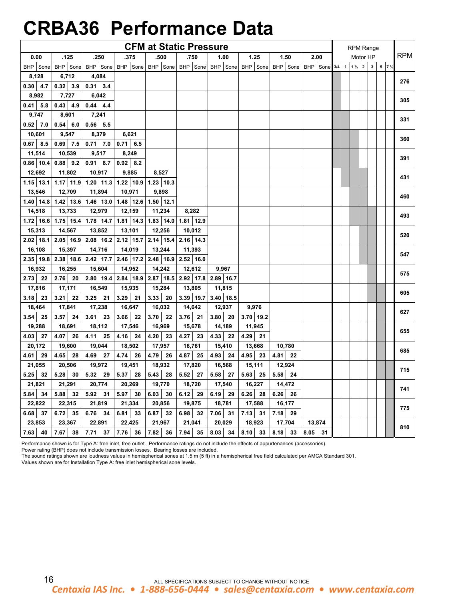## **CRBA36 Performance Data**

|             |             |               |              | <b>CFM at Static Pressure</b>                         |              |              |            |            |                   |         |                | <b>RPM Range</b> |                         |                 |      |
|-------------|-------------|---------------|--------------|-------------------------------------------------------|--------------|--------------|------------|------------|-------------------|---------|----------------|------------------|-------------------------|-----------------|------|
| 0.00        | .125        | .250          | .375         | .500                                                  | .750         | 1.00         | 1.25       | 1.50       | 2.00              |         |                | Motor HP         |                         |                 | RPM. |
| BHP Sone    | BHP Sone    |               |              | BHP Sone BHP Sone BHP Sone BHP Sone BHP Sone BHP Sone |              |              |            |            | BHP Sone BHP Sone | $3/4$ 1 | $1\frac{1}{2}$ | $\mathbf{2}$     | $\overline{\mathbf{3}}$ | $5 \t 7 \t 1/2$ |      |
| 8,128       | 6,712       | 4,084         |              |                                                       |              |              |            |            |                   |         |                |                  |                         |                 | 276  |
| 0.30<br>4.7 | 0.32<br>3.9 | 0.31<br>3.4   |              |                                                       |              |              |            |            |                   |         |                |                  |                         |                 |      |
| 8,982       | 7,727       | 6,042         |              |                                                       |              |              |            |            |                   |         |                |                  |                         |                 | 305  |
| $0.41$ 5.8  | 0.43<br>4.9 | $0.44$ 4.4    |              |                                                       |              |              |            |            |                   |         |                |                  |                         |                 |      |
| 9,747       | 8,601       | 7,241         |              |                                                       |              |              |            |            |                   |         |                |                  |                         |                 | 331  |
| $0.52$ 7.0  | 0.54<br>6.0 | $0.56$ 5.5    |              |                                                       |              |              |            |            |                   |         |                |                  |                         |                 |      |
| 10,601      | 9,547       | 8,379         | 6,621        |                                                       |              |              |            |            |                   |         |                |                  |                         |                 | 360  |
| $0.67$ 8.5  | $0.69$ 7.5  | $0.71$ 7.0    | $0.71$ 6.5   |                                                       |              |              |            |            |                   |         |                |                  |                         |                 |      |
| 11,514      | 10,539      | 9,517         | 8,249        |                                                       |              |              |            |            |                   |         |                |                  |                         |                 | 391  |
| $0.86$ 10.4 | 0.88<br>9.2 | 0.91<br>8.7   | 0.92<br>8.2  |                                                       |              |              |            |            |                   |         |                |                  |                         |                 |      |
| 12,692      | 11,802      | 10,917        | 9,885        | 8,527                                                 |              |              |            |            |                   |         |                |                  |                         |                 | 431  |
| $1.15$ 13.1 | $1.17$ 11.9 | $1.20$ 11.3   | $1.22$ 10.9  | $1.23$ 10.3                                           |              |              |            |            |                   |         |                |                  |                         |                 |      |
| 13,546      | 12,709      | 11,894        | 10,971       | 9,898                                                 |              |              |            |            |                   |         |                |                  |                         |                 | 460  |
| $1.40$ 14.8 | $1.42$ 13.6 | $1.46$   13.0 | $1.48$ 12.6  | $1.50$ 12.1                                           |              |              |            |            |                   |         |                |                  |                         |                 |      |
| 14,518      | 13,733      | 12,979        | 12,159       | 11,234                                                | 8,282        |              |            |            |                   |         |                |                  |                         |                 | 493  |
| $1.72$ 16.6 | $1.75$ 15.4 |               |              | $1.78$   14.7   1.81   14.3   1.83   14.0             | $1.81$ 12.9  |              |            |            |                   |         |                |                  |                         |                 |      |
| 15,313      | 14,567      | 13,852        | 13,101       | 12,256                                                | 10,012       |              |            |            |                   |         |                |                  |                         |                 | 520  |
| $2.02$ 18.1 |             |               |              | 2.05   16.9   2.08   16.2   2.12   15.7   2.14   15.4 | $2.16$ 14.3  |              |            |            |                   |         |                |                  |                         |                 |      |
| 16,108      | 15,397      | 14,716        | 14,019       | 13,244                                                | 11,393       |              |            |            |                   |         |                |                  |                         |                 | 547  |
| $2.35$ 19.8 |             |               |              | 2.38   18.6   2.42   17.7   2.46   17.2   2.48   16.9 | $2.52$ 16.0  |              |            |            |                   |         |                |                  |                         |                 |      |
| 16,932      | 16,255      | 15,604        | 14,952       | 14,242                                                | 12,612       | 9,967        |            |            |                   |         |                |                  |                         |                 | 575  |
| 2.73<br>22  | 2.76<br>20  | $2.80$   19.4 | $2.84$ 18.9  | 2.87 18.5                                             | $2.92$ 17.8  | $2.89$ 16.7  |            |            |                   |         |                |                  |                         |                 |      |
| 17,816      | 17,171      | 16,549        | 15,935       | 15,284                                                | 13,805       | 11,815       |            |            |                   |         |                |                  |                         |                 | 605  |
| 3.18<br>23  | 3.21<br>22  | 3.25<br>21    | 3.29<br>21   | 3.33<br>20                                            | 3.39 19.7    | $3.40$ 18.5  |            |            |                   |         |                |                  |                         |                 |      |
| 18,464      | 17,841      | 17,238        | 16,647       | 16,032                                                | 14,642       | 12,937       | 9,976      |            |                   |         |                |                  |                         |                 | 627  |
| 3.54<br>25  | 24<br>3.57  | 3.61<br>23    | 3.66<br>22   | 3.70<br>22                                            | $3.76$ 21    | 3.80<br>20   | 3.70 19.2  |            |                   |         |                |                  |                         |                 |      |
| 19,288      | 18,691      | 18,112        | 17,546       | 16,969                                                | 15,678       | 14,189       | 11,945     |            |                   |         |                |                  |                         |                 | 655  |
| 4.03<br>27  | 4.07<br>26  | 4.11<br>25    | 4.16<br>24   | 4.20<br>23                                            | 4.27<br>23   | 4.33<br>22   | 4.29<br>21 |            |                   |         |                |                  |                         |                 |      |
| 20,172      | 19,600      | 19,044        | 18,502       | 17,957                                                | 16,761       | 15,410       | 13,668     | 10,780     |                   |         |                |                  |                         |                 | 685  |
| 4.61<br>29  | 4.65<br>28  | 4.69<br>27    | 4.74  <br>26 | 4.79<br>26                                            | 4.87<br>25   | 4.93<br>24   | 4.95<br>23 | 4.81<br>22 |                   |         |                |                  |                         |                 |      |
| 21,055      | 20,506      | 19,972        | 19,451       | 18,932                                                | 17,820       | 16,568       | 15,111     | 12,924     |                   |         |                |                  |                         |                 | 715  |
| 32<br>5.25  | 5.28<br>30  | 5.32<br>29    | 5.37<br>28   | 5.43<br>28                                            | 5.52<br>- 27 | 5.58<br>- 27 | 5.63<br>25 | 5.58<br>24 |                   |         |                |                  |                         |                 |      |
| 21,821      | 21,291      | 20,774        | 20,269       | 19,770                                                | 18,720       | 17,540       | 16,227     | 14,472     |                   |         |                |                  |                         |                 | 741  |
| 5.84<br>34  | 5.88<br>32  | 5.92<br>31    | 5.97<br>30   | 6.03<br>30                                            | 6.12<br>29   | 6.19<br>29   | 6.26<br>28 | 6.26<br>26 |                   |         |                |                  |                         |                 |      |
| 22,822      | 22,315      | 21,819        | 21,334       | 20,856                                                | 19,875       | 18,781       | 17,588     | 16,177     |                   |         |                |                  |                         |                 | 775  |
| 6.68<br>37  | 6.72<br>35  | 6.76<br>34    | 6.81<br>33   | 6.87<br>32                                            | 6.98<br>32   | 7.06<br>31   | 7.13<br>31 | 7.18<br>29 |                   |         |                |                  |                         |                 |      |
| 23,853      | 23,367      | 22,891        | 22,425       | 21,967                                                | 21,041       | 20,029       | 18,923     | 17,704     | 13,874            |         |                |                  |                         |                 | 810  |
| 40<br>7.63  | 7.67<br>38  | 7.71<br>37    | 7.76<br>36   | 7.82<br>36                                            | 7.94 35      | $8.03$ 34    | $8.10$ 33  | 8.18<br>33 | 8.05<br>31        |         |                |                  |                         |                 |      |

Performance shown is for Type A: free inlet, free outlet. Performance ratings do not include the effects of appurtenances (accessories).

Power rating (BHP) does not include transmission losses. Bearing losses are included.

The sound ratings shown are loudness values in hemispherical sones at 1.5 m (5 ft) in a hemispherical free field calculated per AMCA Standard 301.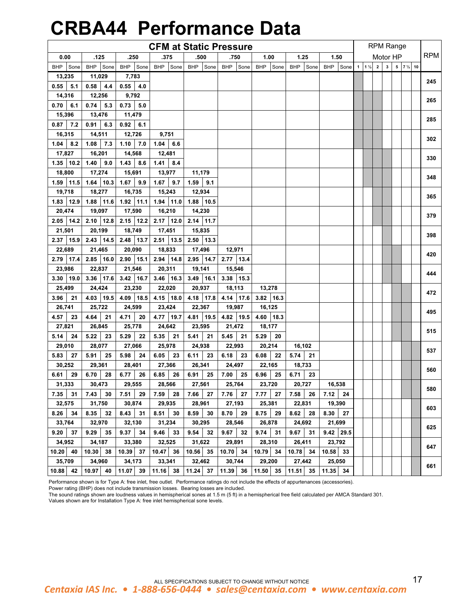# **CRBA44 Performance Data**

|               |                    |             | <b>CFM at Static Pressure</b> |             |               |                    |                    |                    |                    |                | <b>RPM Range</b> |                        |            |
|---------------|--------------------|-------------|-------------------------------|-------------|---------------|--------------------|--------------------|--------------------|--------------------|----------------|------------------|------------------------|------------|
| 0.00          | .125               | .250        | .375                          | .500        | .750          | 1.00               | 1.25               | 1.50               |                    |                | Motor HP         |                        | <b>RPM</b> |
| BHP<br>Sone   | <b>BHP</b><br>Sone | BHP Sone    | BHP Sone                      | BHP Sone    | BHP Sone      | <b>BHP</b><br>Sone | <b>BHP</b><br>Sone | <b>BHP</b><br>Sone | $1 \t1\frac{1}{2}$ | $\overline{2}$ | $\mathbf{3}$     | $5$ 7 $\frac{1}{2}$ 10 |            |
| 13,235        | 11,029             | 7,783       |                               |             |               |                    |                    |                    |                    |                |                  |                        |            |
| 0.55<br>5.1   | 0.58<br>4.4        | 0.55<br>4.0 |                               |             |               |                    |                    |                    |                    |                |                  |                        | 245        |
| 14,316        | 12,256             | 9,792       |                               |             |               |                    |                    |                    |                    |                |                  |                        |            |
| 0.70<br>6.1   | 0.74<br>5.3        | 0.73<br>5.0 |                               |             |               |                    |                    |                    |                    |                |                  |                        | 265        |
| 15,396        | 13,476             | 11,479      |                               |             |               |                    |                    |                    |                    |                |                  |                        |            |
| 7.2<br>0.87   | 0.91<br>6.3        | 0.92<br>6.1 |                               |             |               |                    |                    |                    |                    |                |                  |                        | 285        |
| 16,315        | 14,511             | 12,726      | 9,751                         |             |               |                    |                    |                    |                    |                |                  |                        |            |
| 1.04<br>8.2   | 7.3<br>1.08        | 7.0<br>1.10 | 1.04<br>6.6                   |             |               |                    |                    |                    |                    |                |                  |                        | 302        |
| 17,827        | 16,201             | 14,568      | 12,481                        |             |               |                    |                    |                    |                    |                |                  |                        |            |
| $1.35$ 10.2   | 1.40<br>9.0        | 1.43<br>8.6 | $1.41 \t 8.4$                 |             |               |                    |                    |                    |                    |                |                  |                        | 330        |
| 18,800        | 17,274             | 15,691      | 13,977                        | 11,179      |               |                    |                    |                    |                    |                |                  |                        |            |
| $1.59$   11.5 | $1.64$ 10.3        | 1.67<br>9.9 | 1.67<br>9.7                   | 1.59<br>9.1 |               |                    |                    |                    |                    |                |                  |                        | 348        |
| 19,718        | 18,277             | 16,735      | 15,243                        | 12,934      |               |                    |                    |                    |                    |                |                  |                        |            |
| $1.83$   12.9 | 1.88 11.6          | $1.92$ 11.1 | $1.94$ 11.0                   | 1.88 10.5   |               |                    |                    |                    |                    |                |                  |                        | 365        |
| 20,474        | 19,097             | 17,590      | 16,210                        | 14,230      |               |                    |                    |                    |                    |                |                  |                        |            |
| $2.05$ 14.2   | $2.10$ 12.8        | $2.15$ 12.2 | $2.17$ 12.0                   | 2.14 11.7   |               |                    |                    |                    |                    |                |                  |                        | 379        |
| 21,501        | 20,199             | 18,749      | 17,451                        | 15,835      |               |                    |                    |                    |                    |                |                  |                        |            |
| 2.37 15.9     | $2.43$ 14.5        | 2.48 13.7   | $2.51$ 13.5                   | $2.50$ 13.3 |               |                    |                    |                    |                    |                |                  |                        | 398        |
| 22,689        | 21,465             | 20,090      | 18,833                        | 17,496      | 12,971        |                    |                    |                    |                    |                |                  |                        |            |
| 2.79 17.4     | $2.85$ 16.0        | $2.90$ 15.1 | $2.94$   14.8                 | 2.95 14.7   | 2.77 13.4     |                    |                    |                    |                    |                |                  |                        | 420        |
| 23,986        | 22,837             | 21,546      | 20,311                        | 19,141      | 15,546        |                    |                    |                    |                    |                |                  |                        |            |
| $3.30$   19.0 | 3.36 17.6          | $3.42$ 16.7 | $3.46$ 16.3                   | $3.49$ 16.1 | $3.38$   15.3 |                    |                    |                    |                    |                |                  |                        | 444        |
| 25,499        | 24,424             | 23,230      | 22,020                        | 20,937      | 18,113        | 13,278             |                    |                    |                    |                |                  |                        |            |
| 3.96<br>21    | 19.5<br>4.03       | 4.09 18.5   | 4.15 18.0                     | 4.18 17.8   | $4.14$ 17.6   | 16.3<br>3.82       |                    |                    |                    |                |                  |                        | 472        |
| 26,741        | 25,722             | 24,599      | 23,424                        | 22,367      | 19,987        | 16,125             |                    |                    |                    |                |                  |                        |            |
| 4.57<br>23    | 4.64<br>21         | 4.71<br>20  | 4.77 19.7                     | 4.81 19.5   | 4.82 19.5     | 4.60<br>18.3       |                    |                    |                    |                |                  |                        | 495        |
| 27,821        | 26,845             | 25,778      | 24,642                        | 23,595      | 21,472        | 18,177             |                    |                    |                    |                |                  |                        |            |
| 5.14<br>24    | 5.22<br>23         | 5.29<br>22  | 5.35<br>21                    | 5.41<br>21  | 5.45<br>21    | 5.29<br>20         |                    |                    |                    |                |                  |                        | 515        |
| 29,010        | 28,077             | 27,066      | 25,978                        | 24,938      | 22,993        | 20,214             | 16,102             |                    |                    |                |                  |                        |            |
| 5.83<br>27    | 5.91<br>25         | 5.98<br>24  | 6.05<br>23                    | 6.11<br>23  | 6.18<br>23    | 6.08<br>22         | 5.74<br>21         |                    |                    |                |                  |                        | 537        |
| 30,252        | 29,361             | 28,401      | 27,366                        | 26,341      | 24,497        | 22,165             | 18,733             |                    |                    |                |                  |                        |            |
| 29<br>6.61    | 6.70<br>28         | 6.77<br>26  | 6.85<br>26                    | 6.91<br>25  | 7.00<br>25    | 6.96<br>25         | 23<br>6.71         |                    |                    |                |                  |                        | 560        |
| 31,333        | 30,473             | 29,555      | 28,566                        | 27,561      | 25,764        | 23,720             | 20,727             | 16,538             |                    |                |                  |                        |            |
| 7.35<br>31    | 7.43<br>30         | 7.51<br>29  | 7.59<br>28                    | 7.66<br>27  | 7.76<br>27    | 7.77<br>27         | 7.58<br>26         | 7.12<br>24         |                    |                |                  |                        | 580        |
| 32,575        | 31,750             | 30,874      | 29,935                        | 28,961      | 27,193        | 25,381             | 22,831             | 19,390             |                    |                |                  |                        |            |
| 8.26<br>34    | 8.35<br>32         | 8.43 31     | 8.51<br>30                    | 8.59<br>30  | 8.70<br>29    | 8.75<br>29         | 8.62<br>28         | 8.30<br>27         |                    |                |                  |                        | 603        |
| 33,764        | 32,970             | 32,130      | 31,234                        | 30,295      | 28,546        | 26,878             | 24,692             | 21,699             |                    |                |                  |                        |            |
| 9.20<br>37    | 9.29<br>35         | 9.37 34     | 9.46<br>33                    | 9.54<br>32  | 9.67<br>32    | $9.74$ 31          | $9.67$ 31          | $9.42$ 29.5        |                    |                |                  |                        | 625        |
| 34,952        | 34,187             | 33,380      | 32,525                        | 31,622      | 29,891        | 28,310             | 26,411             | 23,792             |                    |                |                  |                        |            |
| $10.20$ 40    | $10.30$ 38         | $10.39$ 37  | 10.47 36                      | $10.56$ 35  | $10.70$ 34    | 10.79 34           | 10.78 34           | 10.58 33           |                    |                |                  |                        | 647        |
| 35,709        | 34,960             | 34,173      | 33,341                        | 32,462      | 30,744        | 29,200             | 27,442             | 25,050             |                    |                |                  |                        |            |
| 10.88<br>42   | $10.97$ 40         | $11.07$ 39  | $11.16$ 38                    | $11.24$ 37  | 11.39 36      | $11.50$ 35         | 11.51              | 35 11.35 34        |                    |                |                  |                        | 661        |

Performance shown is for Type A: free inlet, free outlet. Performance ratings do not include the effects of appurtenances (accessories).

Power rating (BHP) does not include transmission losses. Bearing losses are included.

The sound ratings shown are loudness values in hemispherical sones at 1.5 m (5 ft) in a hemispherical free field calculated per AMCA Standard 301.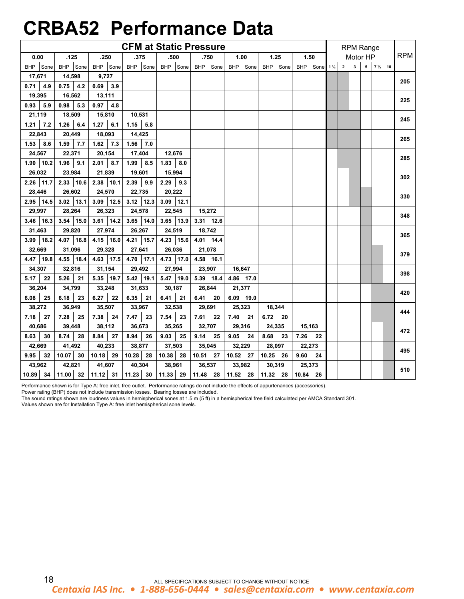## **CRBA52 Performance Data**

|               |                    |                    | <b>CFM at Static Pressure</b> |              |               |                    |             |                          |             |             | <b>RPM Range</b> |                        |            |
|---------------|--------------------|--------------------|-------------------------------|--------------|---------------|--------------------|-------------|--------------------------|-------------|-------------|------------------|------------------------|------------|
| 0.00          | .125               | .250               | .375                          | .500         | .750          | 1.00               | 1.25        | 1.50                     |             |             | Motor HP         |                        | <b>RPM</b> |
| BHP Sone      | <b>BHP</b><br>Sone | <b>BHP</b><br>Sone | BHP Sone                      | BHP Sone     | BHP Sone      | <b>BHP</b><br>Sone | BHP Sone    | <b>BHP</b><br>Sone 1 1/2 | $\mathbf 2$ | $\mathbf 3$ |                  | $5$ 7 $\frac{1}{2}$ 10 |            |
| 17,671        | 14,598             | 9,727              |                               |              |               |                    |             |                          |             |             |                  |                        | 205        |
| 0.71<br>4.9   | 0.75<br>4.2        | 0.69<br>3.9        |                               |              |               |                    |             |                          |             |             |                  |                        |            |
| 19,395        | 16,562             | 13,111             |                               |              |               |                    |             |                          |             |             |                  |                        | 225        |
| 0.93<br>5.9   | 0.98<br>5.3        | 0.97<br>4.8        |                               |              |               |                    |             |                          |             |             |                  |                        |            |
| 21,119        | 18,509             | 15,810             | 10,531                        |              |               |                    |             |                          |             |             |                  |                        | 245        |
| 7.2<br>1.21   | 6.4<br>1.26        | 6.1<br>1.27        | 5.8<br>1.15                   |              |               |                    |             |                          |             |             |                  |                        |            |
| 22,843        | 20,449             | 18,093             | 14,425                        |              |               |                    |             |                          |             |             |                  |                        | 265        |
| 1.53<br>8.6   | 1.59<br>7.7        | $1.62$ 7.3         | 1.56<br>7.0                   |              |               |                    |             |                          |             |             |                  |                        |            |
| 24,567        | 22,371             | 20,154             | 17,404                        | 12,676       |               |                    |             |                          |             |             |                  |                        | 285        |
| $1.90$   10.2 | 1.96<br>9.1        | 2.01<br>8.7        | 1.99<br>8.5                   | 1.83<br>8.0  |               |                    |             |                          |             |             |                  |                        |            |
| 26,032        | 23,984             | 21,839             | 19,601                        | 15,994       |               |                    |             |                          |             |             |                  |                        | 302        |
| 11.7<br>2.26  | $2.33$   10.6      | 2.38<br>10.1       | 2.39<br>9.9                   | 2.29<br>9.3  |               |                    |             |                          |             |             |                  |                        |            |
| 28,446        | 26,602             | 24,570             | 22,735                        | 20,222       |               |                    |             |                          |             |             |                  |                        | 330        |
| 2.95 14.5     | $3.02$   13.1      | 3.09<br>12.5       | $3.12$ 12.3                   | $3.09$ 12.1  |               |                    |             |                          |             |             |                  |                        |            |
| 29,997        | 28,264             | 26,323             | 24,578                        | 22,545       | 15,272        |                    |             |                          |             |             |                  |                        | 348        |
| $3.46$ 16.3   | 3.54<br>15.0       | $3.61$ 14.2        | $3.65$ 14.0                   | 3.65<br>13.9 | $3.31$   12.6 |                    |             |                          |             |             |                  |                        |            |
| 31,463        | 29,820             | 27,974             | 26,267                        | 24,519       | 18,742        |                    |             |                          |             |             |                  |                        | 365        |
| 3.99 18.2     | 4.07 16.8          | 4.15 16.0          | 4.21 15.7                     | 4.23 15.6    | 4.01 $14.4$   |                    |             |                          |             |             |                  |                        |            |
| 32,669        | 31,096             | 29,328             | 27,641                        | 26,036       | 21,078        |                    |             |                          |             |             |                  |                        | 379        |
| 19.8<br>4.47  | 4.55<br>18.4       | 4.63<br> 17.5      | 4.70 17.1                     | 17.0<br>4.73 | 4.58 16.1     |                    |             |                          |             |             |                  |                        |            |
| 34,307        | 32,816             | 31,154             | 29,492                        | 27,994       | 23,907        | 16,647             |             |                          |             |             |                  |                        | 398        |
| 5.17<br>22    | 5.26<br>21         | 5.35 19.7          | $5.42$ 19.1                   | 5.47 19.0    | $5.39$   18.4 | 4.86 17.0          |             |                          |             |             |                  |                        |            |
| 36,204        | 34,799             | 33,248             | 31,633                        | 30,187       | 26,844        | 21,377             |             |                          |             |             |                  |                        | 420        |
| 6.08<br>25    | 6.18<br>23         | 6.27<br>22         | 6.35<br>21                    | 6.41<br>21   | 6.41<br>20    | $6.09$ 19.0        |             |                          |             |             |                  |                        |            |
| 38,272        | 36,949             | 35,507             | 33,967                        | 32,538       | 29,691        | 25,323             | 18,344      |                          |             |             |                  |                        | 444        |
| 27<br>7.18    | 7.28<br>25         | 7.38<br>24         | 7.47<br>23                    | 7.54<br>23   | 7.61<br>22    | 7.40<br>21         | 6.72<br>-20 |                          |             |             |                  |                        |            |
| 40,686        | 39,448             | 38,112             | 36,673                        | 35,265       | 32,707        | 29,316             | 24,335      | 15,163                   |             |             |                  |                        | 472        |
| 8.63<br>30    | 8.74<br>28         | 8.84<br>27         | 8.94<br>26                    | 9.03<br>25   | 9.14<br>25    | 9.05<br>24         | 8.68<br>23  | 7.26<br>22               |             |             |                  |                        |            |
| 42,669        | 41,492             | 40,233             | 38,877                        | 37,503       | 35,045        | 32,229             | 28,097      | 22,273                   |             |             |                  |                        | 495        |
| 9.95<br>32    | 10.07<br>30        | 10.18<br>29        | 10.28<br>28                   | 10.38<br>28  | 10.51<br>27   | 10.52<br>27        | 10.25<br>26 | 9.60<br>24               |             |             |                  |                        |            |
| 43,962        | 42,821             | 41,607             | 40,304                        | 38,961       | 36,537        | 33,982             | 30,319      | 25,373                   |             |             |                  |                        | 510        |
| 10.89 34      | $11.00$ 32         | $11.12$ 31         | $11.23$ 30                    | $11.33$ 29   | 11.48 28      | $11.52$ 28         | $11.32$ 28  | 10.84 26                 |             |             |                  |                        |            |

Performance shown is for Type A: free inlet, free outlet. Performance ratings do not include the effects of appurtenances (accessories).

Power rating (BHP) does not include transmission losses. Bearing losses are included.

The sound ratings shown are loudness values in hemispherical sones at 1.5 m (5 ft) in a hemispherical free field calculated per AMCA Standard 301.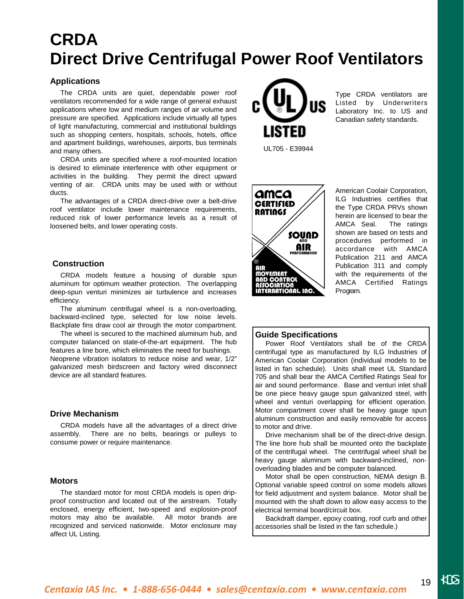## **CRDA Direct Drive Centrifugal Power Roof Ventilators**

## **Applications**

 The CRDA units are quiet, dependable power roof ventilators recommended for a wide range of general exhaust applications where low and medium ranges of air volume and pressure are specified. Applications include virtually all types of light manufacturing, commercial and institutional buildings such as shopping centers, hospitals, schools, hotels, office and apartment buildings, warehouses, airports, bus terminals and many others.

 CRDA units are specified where a roof-mounted location is desired to eliminate interference with other equipment or activities in the building. They permit the direct upward venting of air. CRDA units may be used with or without ducts.

 The advantages of a CRDA direct-drive over a belt-drive roof ventilator include lower maintenance requirements, reduced risk of lower performance levels as a result of loosened belts, and lower operating costs.

## **Construction**

 CRDA models feature a housing of durable spun aluminum for optimum weather protection. The overlapping deep-spun venturi minimizes air turbulence and increases efficiency.

 The aluminum centrifugal wheel is a non-overloading, backward-inclined type, selected for low noise levels. Backplate fins draw cool air through the motor compartment.

 The wheel is secured to the machined aluminum hub, and computer balanced on state-of-the-art equipment. The hub features a line bore, which eliminates the need for bushings. Neoprene vibration isolators to reduce noise and wear, 1/2" galvanized mesh birdscreen and factory wired disconnect device are all standard features.

### **Drive Mechanism**

 CRDA models have all the advantages of a direct drive assembly. There are no belts, bearings or pulleys to consume power or require maintenance.

### **Motors**

 The standard motor for most CRDA models is open dripproof construction and located out of the airstream. Totally enclosed, energy efficient, two-speed and explosion-proof motors may also be available. All motor brands are recognized and serviced nationwide. Motor enclosure may affect UL Listing.



Type CRDA ventilators are Listed by Underwriters Laboratory Inc. to US and Canadian safety standards.

UL705 - E39944



American Coolair Corporation, ILG Industries certifies that the Type CRDA PRVs shown herein are licensed to bear the AMCA Seal. The ratings shown are based on tests and procedures performed in accordance with AMCA Publication 211 and AMCA Publication 311 and comply with the requirements of the AMCA Certified Ratings Program.

### **Guide Specifications**

 Power Roof Ventilators shall be of the CRDA centrifugal type as manufactured by ILG Industries of American Coolair Corporation (individual models to be listed in fan schedule). Units shall meet UL Standard 705 and shall bear the AMCA Certified Ratings Seal for air and sound performance. Base and venturi inlet shall be one piece heavy gauge spun galvanized steel, with wheel and venturi overlapping for efficient operation. Motor compartment cover shall be heavy gauge spun aluminum construction and easily removable for access to motor and drive.

 Drive mechanism shall be of the direct-drive design. The line bore hub shall be mounted onto the backplate of the centrifugal wheel. The centrifugal wheel shall be heavy gauge aluminum with backward-inclined, nonoverloading blades and be computer balanced.

 Motor shall be open construction, NEMA design B. Optional variable speed control on some models allows for field adjustment and system balance. Motor shall be mounted with the shaft down to allow easy access to the electrical terminal board/circuit box.

 Backdraft damper, epoxy coating, roof curb and other accessories shall be listed in the fan schedule.)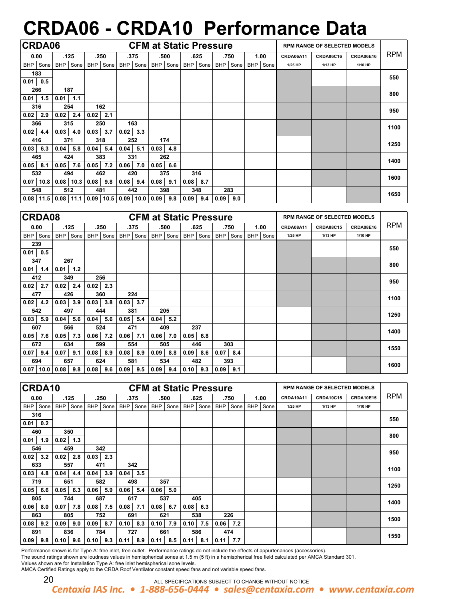# **CRDA06 - CRDA10 Performance Data**

|      | <b>CRDA06</b> |      |      |            |      |            |      |            |      |            | <b>CFM at Static Pressure</b> |            |      |            |      |           | <b>RPM RANGE OF SELECTED MODELS</b> |           |            |
|------|---------------|------|------|------------|------|------------|------|------------|------|------------|-------------------------------|------------|------|------------|------|-----------|-------------------------------------|-----------|------------|
|      | 0.00          |      | .125 |            | .250 |            | .375 |            | .500 |            | .625                          |            | .750 |            | 1.00 | CRDA06A11 | CRDA06C16                           | CRDA06E16 | <b>RPM</b> |
|      | BHP Sone      | BHP  | Sone | <b>BHP</b> | Sone | <b>BHP</b> | Sone | <b>BHP</b> | Sone | <b>BHP</b> | Sone                          | <b>BHP</b> | Sone | <b>BHP</b> | Sone | 1/25 HP   | 1/13 HP                             | 1/10 HP   |            |
|      | 183           |      |      |            |      |            |      |            |      |            |                               |            |      |            |      |           |                                     |           | 550        |
| 0.01 | 0.5           |      |      |            |      |            |      |            |      |            |                               |            |      |            |      |           |                                     |           |            |
|      | 266           |      | 187  |            |      |            |      |            |      |            |                               |            |      |            |      |           |                                     |           | 800        |
| 0.01 | 1.5           | 0.01 | 1.1  |            |      |            |      |            |      |            |                               |            |      |            |      |           |                                     |           |            |
|      | 316           |      | 254  |            | 162  |            |      |            |      |            |                               |            |      |            |      |           |                                     |           | 950        |
| 0.02 | 2.9           | 0.02 | 2.4  | 0.02       | 2.1  |            |      |            |      |            |                               |            |      |            |      |           |                                     |           |            |
|      | 366           |      | 315  | 250        |      |            | 163  |            |      |            |                               |            |      |            |      |           |                                     |           | 1100       |
| 0.02 | 4.4           | 0.03 | 4.0  | 0.03       | 3.7  | 0.02       | 3.3  |            |      |            |                               |            |      |            |      |           |                                     |           |            |
|      | 416           |      | 371  | 318        |      |            | 252  |            | 174  |            |                               |            |      |            |      |           |                                     |           | 1250       |
| 0.03 | 6.3           | 0.04 | 5.8  | 0.04       | 5.4  | 0.04       | 5.1  | 0.03       | 4.8  |            |                               |            |      |            |      |           |                                     |           |            |
|      | 465           |      | 424  | 383        |      | 331        |      |            | 262  |            |                               |            |      |            |      |           |                                     |           | 1400       |
| 0.05 | 8.1           | 0.05 | 7.6  | 0.05       | 7.2  | 0.06       | 7.0  | 0.05       | 6.6  |            |                               |            |      |            |      |           |                                     |           |            |
|      | 532           |      | 494  | 462        |      | 420        |      |            | 375  |            | 316                           |            |      |            |      |           |                                     |           | 1600       |
| 0.07 | 10.8          | 0.08 | 10.3 | 0.08       | 9.8  | 0.08       | 9.4  | 0.08       | 9.1  | 0.08       | 8.7                           |            |      |            |      |           |                                     |           |            |
|      | 548           |      | 512  | 481        |      | 442        |      |            | 398  |            | 348                           | 283        |      |            |      |           |                                     |           | 1650       |
| 0.08 | 11.5          | 0.08 | 11.1 | 0.09       | 10.5 | 0.09       | 10.0 | 0.09       | 9.8  | 0.09       | 9.4                           | 0.09       | 9.0  |            |      |           |                                     |           |            |

|            | <b>CRDA08</b> |            |      |            |      |            |      | <b>CFM at Static Pressure</b> |      |            |      |            |      |     |      |           | <b>RPM RANGE OF SELECTED MODELS</b> |           |            |
|------------|---------------|------------|------|------------|------|------------|------|-------------------------------|------|------------|------|------------|------|-----|------|-----------|-------------------------------------|-----------|------------|
|            | 0.00          |            | .125 |            | .250 |            | .375 | .500                          |      |            | .625 |            | .750 |     | 1.00 | CRDA08A11 | <b>CRDA08C15</b>                    | CRDA08E16 | <b>RPM</b> |
| <b>BHP</b> | Sone          | <b>BHP</b> | Sone | <b>BHP</b> | Sone | <b>BHP</b> | Sone | BHP                           | Sone | <b>BHP</b> | Sone | <b>BHP</b> | Sone | BHP | Sone | 1/25 HP   | 1/13 HP                             | 1/10 HP   |            |
|            | 239           |            |      |            |      |            |      |                               |      |            |      |            |      |     |      |           |                                     |           | 550        |
| 0.01       | 0.5           |            |      |            |      |            |      |                               |      |            |      |            |      |     |      |           |                                     |           |            |
|            | 347           |            | 267  |            |      |            |      |                               |      |            |      |            |      |     |      |           |                                     |           | 800        |
| 0.01       | 1.4           | 0.01       | 1.2  |            |      |            |      |                               |      |            |      |            |      |     |      |           |                                     |           |            |
|            | 412           |            | 349  |            | 256  |            |      |                               |      |            |      |            |      |     |      |           |                                     |           | 950        |
| 0.02       | 2.7           | 0.02       | 2.4  | 0.02       | 2.3  |            |      |                               |      |            |      |            |      |     |      |           |                                     |           |            |
|            | 477           |            | 426  |            | 360  |            | 224  |                               |      |            |      |            |      |     |      |           |                                     |           | 1100       |
| 0.02       | 4.2           | 0.03       | 3.9  | 0.03       | 3.8  | 0.03       | 3.7  |                               |      |            |      |            |      |     |      |           |                                     |           |            |
|            | 542           |            | 497  | 444        |      |            | 381  | 205                           |      |            |      |            |      |     |      |           |                                     |           | 1250       |
| 0.03       | 5.9           | 0.04       | 5.6  | 0.04       | 5.6  | 0.05       | 5.4  | 0.04                          | 5.2  |            |      |            |      |     |      |           |                                     |           |            |
|            | 607           |            | 566  |            | 524  | 471        |      | 409                           |      |            | 237  |            |      |     |      |           |                                     |           | 1400       |
| 0.05       | 7.6           | 0.05       | 7.3  | 0.06       | 7.2  | 0.06       | 7.1  | 0.06                          | 7.0  | 0.05       | 6.8  |            |      |     |      |           |                                     |           |            |
|            | 672           |            | 634  |            | 599  |            | 554  | 505                           |      |            | 446  |            | 303  |     |      |           |                                     |           | 1550       |
| 0.07       | 9.4           | 0.07       | 9.1  | 0.08       | 8.9  | 0.08       | 8.9  | 0.09                          | 8.8  | 0.09       | 8.6  | 0.07       | 8.4  |     |      |           |                                     |           |            |
|            | 694           |            | 657  | 624        |      | 581        |      | 534                           |      |            | 482  |            | 393  |     |      |           |                                     |           | 1600       |
| 0.07       | 10.0          | 0.08       | 9.8  | 0.08       | 9.6  | 0.09       | 9.5  | 0.09                          | 9.4  | 0.10       | 9.3  | 0.09       | 9.1  |     |      |           |                                     |           |            |

|      | CRDA10 |            |      |            |      |            |      |            | <b>CFM at Static Pressure</b> |            |      |            |      |            |      |           | <b>RPM RANGE OF SELECTED MODELS</b> |                  |            |
|------|--------|------------|------|------------|------|------------|------|------------|-------------------------------|------------|------|------------|------|------------|------|-----------|-------------------------------------|------------------|------------|
|      | 0.00   |            | .125 |            | .250 |            | .375 |            | .500                          |            | .625 |            | .750 |            | 1.00 | CRDA10A11 | <b>CRDA10C15</b>                    | <b>CRDA10E15</b> | <b>RPM</b> |
| BHP  | Sone   | <b>BHP</b> | Sone | <b>BHP</b> | Sone | <b>BHP</b> | Sone | <b>BHP</b> | Sone                          | <b>BHP</b> | Sone | <b>BHP</b> | Sone | <b>BHP</b> | Sone | 1/25 HP   | 1/13 HP                             | 1/10 HP          |            |
|      | 316    |            |      |            |      |            |      |            |                               |            |      |            |      |            |      |           |                                     |                  | 550        |
| 0.01 | 0.2    |            |      |            |      |            |      |            |                               |            |      |            |      |            |      |           |                                     |                  |            |
|      | 460    |            | 350  |            |      |            |      |            |                               |            |      |            |      |            |      |           |                                     |                  | 800        |
| 0.01 | 1.9    | 0.02       | 1.3  |            |      |            |      |            |                               |            |      |            |      |            |      |           |                                     |                  |            |
|      | 546    |            | 459  |            | 342  |            |      |            |                               |            |      |            |      |            |      |           |                                     |                  | 950        |
| 0.02 | 3.2    | 0.02       | 2.8  | 0.03       | 2.3  |            |      |            |                               |            |      |            |      |            |      |           |                                     |                  |            |
|      | 633    | 557        |      | 471        |      |            | 342  |            |                               |            |      |            |      |            |      |           |                                     |                  | 1100       |
| 0.03 | 4.8    | 0.04       | 4.4  | 0.04       | 3.9  | 0.04       | 3.5  |            |                               |            |      |            |      |            |      |           |                                     |                  |            |
|      | 719    | 651        |      |            | 582  |            | 498  |            | 357                           |            |      |            |      |            |      |           |                                     |                  | 1250       |
| 0.05 | 6.6    | 0.05       | 6.3  | 0.06       | 5.9  | 0.06       | 5.4  | 0.06       | 5.0                           |            |      |            |      |            |      |           |                                     |                  |            |
|      | 805    |            | 744  | 687        |      |            | 617  |            | 537                           |            | 405  |            |      |            |      |           |                                     |                  | 1400       |
| 0.06 | 8.0    | 0.07       | 7.8  | 0.08       | 7.5  | 0.08       | 7.1  | 0.08       | 6.7                           | 0.08       | 6.3  |            |      |            |      |           |                                     |                  |            |
|      | 863    |            | 805  |            | 752  | 691        |      |            | 621                           |            | 538  |            | 226  |            |      |           |                                     |                  | 1500       |
| 0.08 | 9.2    | 0.09       | 9.0  | 0.09       | 8.7  | 0.10       | 8.3  | 0.10       | 7.9                           | 0.10       | 7.5  | 0.06       | 7.2  |            |      |           |                                     |                  |            |
|      | 891    |            | 836  |            | 784  |            | 727  |            | 661                           |            | 586  |            | 474  |            |      |           |                                     |                  | 1550       |
| 0.09 | 9.8    | 0.10       | 9.6  | 0.10       | 9.3  | 0.11       | 8.9  | 0.11       | 8.5                           | 0.11       | 8.1  | 0.11       | 7.7  |            |      |           |                                     |                  |            |

Performance shown is for Type A: free inlet, free outlet. Performance ratings do not include the effects of appurtenances (accessories).

The sound ratings shown are loudness values in hemispherical sones at 1.5 m (5 ft) in a hemispherical free field calculated per AMCA Standard 301.

Values shown are for Installation Type A: free inlet hemispherical sone levels.

AMCA Certified Ratings apply to the CRDA Roof Ventilator constant speed fans and not variable speed fans.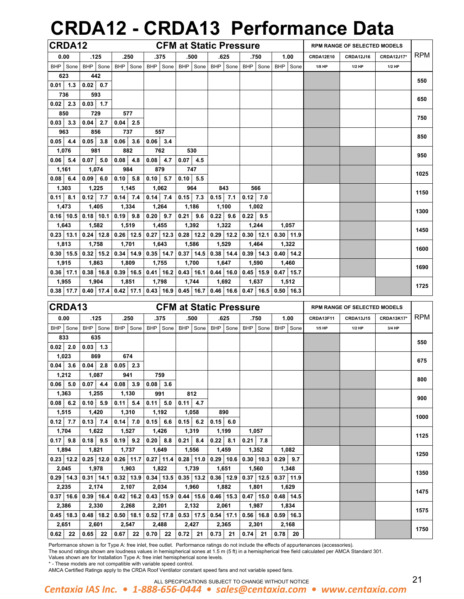# **CRDA12 - CRDA13 Performance Data**

| <b>CRDA12</b>               |               |             |              |          |            |                                                                         |            |             | <b>CFM at Static Pressure</b>             |                             |                                                                                                   |                  | <b>RPM RANGE OF SELECTED MODELS</b> |                   |            |
|-----------------------------|---------------|-------------|--------------|----------|------------|-------------------------------------------------------------------------|------------|-------------|-------------------------------------------|-----------------------------|---------------------------------------------------------------------------------------------------|------------------|-------------------------------------|-------------------|------------|
| 0.00                        |               | .125        |              | .250     |            | .375                                                                    |            | .500        | .625                                      | .750                        | 1.00                                                                                              | <b>CRDA12E10</b> | <b>CRDA12J16</b>                    | <b>CRDA12J17*</b> | <b>RPM</b> |
| BHP Sone                    | <b>BHP</b>    | Sone        |              | BHP Sone |            | BHP Sone                                                                | <b>BHP</b> |             | Sone   BHP   Sone                         | BHP Sone                    | BHP Sone                                                                                          | 1/8 HP           | $1/2$ HP                            | 1/2 HP            |            |
| 623                         |               | 442         |              |          |            |                                                                         |            |             |                                           |                             |                                                                                                   |                  |                                     |                   | 550        |
| $0.01$ 1.3                  | $0.02 \ 0.7$  |             |              |          |            |                                                                         |            |             |                                           |                             |                                                                                                   |                  |                                     |                   |            |
| 736                         |               | 593         |              |          |            |                                                                         |            |             |                                           |                             |                                                                                                   |                  |                                     |                   | 650        |
| $0.02$ 2.3                  | $0.03$ 1.7    |             |              |          |            |                                                                         |            |             |                                           |                             |                                                                                                   |                  |                                     |                   |            |
| 850                         |               | 729         |              | 577      |            |                                                                         |            |             |                                           |                             |                                                                                                   |                  |                                     |                   | 750        |
| $0.03$ 3.3                  | 0.04          | 2.7         | $0.04$ 2.5   |          |            |                                                                         |            |             |                                           |                             |                                                                                                   |                  |                                     |                   |            |
| 963                         |               | 856         |              | 737      |            | 557                                                                     |            |             |                                           |                             |                                                                                                   |                  |                                     |                   | 850        |
| $0.05$ 4.4                  | 0.05          | 3.8         | $0.06$ 3.6   |          | $0.06$ 3.4 |                                                                         |            |             |                                           |                             |                                                                                                   |                  |                                     |                   |            |
| 1,076                       |               | 981         |              | 882      |            | 762                                                                     |            | 530         |                                           |                             |                                                                                                   |                  |                                     |                   | 950        |
| $0.06$ 5.4                  | 0.07          | 5.0         | 0.08         | 4.8      | 0.08       | 4.7                                                                     | $0.07$ 4.5 |             |                                           |                             |                                                                                                   |                  |                                     |                   |            |
| 1,161                       |               | 1,074       |              | 984      |            | 879                                                                     |            | 747         |                                           |                             |                                                                                                   |                  |                                     |                   | 1025       |
| $0.08$ 6.4                  | $0.09 \, 6.0$ |             | $0.10$ 5.8   |          |            | $0.10$ 5.7                                                              | $0.10$ 5.5 |             |                                           |                             |                                                                                                   |                  |                                     |                   |            |
| 1,303                       |               | 1,225       |              | 1,145    |            | 1,062                                                                   |            | 964         | 843                                       | 566                         |                                                                                                   |                  |                                     |                   | 1150       |
| $0.11$ 8.1                  | $0.12$ 7.7    |             | $0.14$ 7.4   |          |            | $0.14$ 7.4                                                              | $0.15$ 7.3 |             | $0.15$ 7.1                                | $0.12$ 7.0                  |                                                                                                   |                  |                                     |                   |            |
| 1,473                       |               | 1,405       |              | 1,334    |            | 1,264                                                                   |            | 1,186       | 1,100                                     | 1,002                       |                                                                                                   |                  |                                     |                   | 1300       |
| $0.16$   10.5   0.18   10.1 |               |             | $0.19$ $9.8$ |          |            | $0.20$ 9.7                                                              | $0.21$ 9.6 |             | $0.22$ 9.6                                | $0.22$ 9.5                  |                                                                                                   |                  |                                     |                   |            |
| 1,643                       |               | 1,582       |              | 1,519    |            | 1,455                                                                   |            | 1,392       | 1,322                                     | 1,244                       | 1,057                                                                                             |                  |                                     |                   | 1450       |
| $0.23$ 13.1                 |               | $0.24$ 12.8 |              |          |            | $0.26$   12.5   0.27   12.3                                             |            |             | $0.28$   12.2   0.29   12.2   0.30   12.1 |                             | $0.30$ 11.9                                                                                       |                  |                                     |                   |            |
| 1,813                       |               | 1,758       |              | 1,701    |            | 1,643                                                                   |            | 1,586       | 1,529                                     | 1,464                       | 1,322                                                                                             |                  |                                     |                   | 1600       |
| $0.30$   15.5               |               | $0.32$ 15.2 |              |          |            | $0.34$   14.9   0.35   14.7                                             |            | $0.37$ 14.5 |                                           | $0.38$   14.4   0.39   14.3 | $0.40$ 14.2                                                                                       |                  |                                     |                   |            |
| 1,915                       |               | 1,863       |              | 1,809    |            | 1,755                                                                   |            | 1,700       | 1,647                                     | 1,590                       | 1,460                                                                                             |                  |                                     |                   | 1690       |
| $0.36$ 17.1                 |               | $0.38$ 16.8 |              |          |            | $\mid$ 0.39 $\mid$ 16.5 $\mid$ 0.41 $\mid$ 16.2 $\mid$ 0.43 $\mid$ 16.1 |            |             |                                           | $0.44$   16.0   0.45   15.9 | $0.47$ 15.7                                                                                       |                  |                                     |                   |            |
| 1,955                       |               | 1,904       |              | 1,851    |            | 1,798                                                                   |            | 1,744       | 1,692                                     | 1,637                       | 1,512                                                                                             |                  |                                     |                   | 1725       |
| $0.38$   17.7               |               |             |              |          |            |                                                                         |            |             |                                           |                             | $0.40$   17.4   0.42   17.1   0.43   16.9   0.45   16.7   0.46   16.6   0.47   16.5   0.50   16.3 |                  |                                     |                   |            |

| CRDA13      |             |            |                                                     |            |                    |                  |           | <b>CFM at Static Pressure</b> |      |                                                                                                                 |            |               |                  | <b>RPM RANGE OF SELECTED MODELS</b> |                   |            |
|-------------|-------------|------------|-----------------------------------------------------|------------|--------------------|------------------|-----------|-------------------------------|------|-----------------------------------------------------------------------------------------------------------------|------------|---------------|------------------|-------------------------------------|-------------------|------------|
| 0.00        | .125        |            | .250                                                |            | .375               |                  | .500      | .625                          |      | .750                                                                                                            |            | 1.00          | <b>CRDA13F11</b> | <b>CRDA13J15</b>                    | <b>CRDA13K17*</b> | <b>RPM</b> |
| BHP Sone    | BHP Sone    |            | BHP Sone                                            |            | BHP Sone           |                  | BHP Sone  |                               |      | BHP Sone   BHP   Sone                                                                                           | <b>BHP</b> | Sone          | 1/5 HP           | $1/2$ HP                            | 3/4 HP            |            |
| 833         | 635         |            |                                                     |            |                    |                  |           |                               |      |                                                                                                                 |            |               |                  |                                     |                   | 550        |
| $0.02$ 2.0  | $0.03$ 1.3  |            |                                                     |            |                    |                  |           |                               |      |                                                                                                                 |            |               |                  |                                     |                   |            |
| 1,023       | 869         |            | 674                                                 |            |                    |                  |           |                               |      |                                                                                                                 |            |               |                  |                                     |                   | 675        |
| $0.04$ 3.6  | $0.04$ 2.8  |            | $0.05$ 2.3                                          |            |                    |                  |           |                               |      |                                                                                                                 |            |               |                  |                                     |                   |            |
| 1,212       | 1,087       |            | 941                                                 |            | 759                |                  |           |                               |      |                                                                                                                 |            |               |                  |                                     |                   | 800        |
| $0.06$ 5.0  | $0.07$ 4.4  | $0.08$ 3.9 |                                                     | $0.08$ 3.6 |                    |                  |           |                               |      |                                                                                                                 |            |               |                  |                                     |                   |            |
| 1,363       | 1,255       |            | 1,130                                               |            | 991                |                  | 812       |                               |      |                                                                                                                 |            |               |                  |                                     |                   | 900        |
| $0.08$ 6.2  | $0.10$ 5.9  |            | $0.11$ 5.4                                          |            | $0.11$ 5.0         | $0.11$ 4.7       |           |                               |      |                                                                                                                 |            |               |                  |                                     |                   |            |
| 1,515       | 1,420       |            | 1,310                                               |            | 1,192              |                  | 1,058     | 890                           |      |                                                                                                                 |            |               |                  |                                     |                   | 1000       |
| $0.12$ 7.7  | $0.13$ 7.4  |            | $0.14$ 7.0                                          |            | $0.15 \, 6.6$      | $0.15 \quad 6.2$ |           | $0.15$ 6.0                    |      |                                                                                                                 |            |               |                  |                                     |                   |            |
| 1,704       | 1,622       |            | 1,527                                               |            | 1,426              |                  | 1,319     | 1,199                         |      | 1,057                                                                                                           |            |               |                  |                                     |                   | 1125       |
| $0.17$ 9.8  | $0.18$ 9.5  |            | $0.19$ 9.2                                          |            | $0.20 \,   \, 8.8$ | $0.21 \ 8.4$     |           | $0.22 \,   \, 8.1$            | 0.21 | 7.8                                                                                                             |            |               |                  |                                     |                   |            |
| 1,894       | 1,821       |            | 1,737                                               |            | 1,649              |                  | 1,556     | 1,459                         |      | 1,352                                                                                                           |            | 1,082         |                  |                                     |                   | 1250       |
| $0.23$ 12.2 | $0.25$ 12.0 |            | $0.26$   11.7   0.27   11.4                         |            |                    |                  |           |                               |      | $0.28$   11.0   0.29   10.6   0.30   10.3                                                                       |            | $0.29$ 9.7    |                  |                                     |                   |            |
| 2,045       | 1,978       |            | 1,903                                               |            | 1,822              |                  | 1,739     | 1,651                         |      | 1,560                                                                                                           |            | 1,348         |                  |                                     |                   | 1350       |
| $0.29$ 14.3 | $0.31$ 14.1 |            |                                                     |            |                    |                  |           |                               |      | $\vert 0.32 \vert 13.9 \vert 0.34 \vert 13.5 \vert 0.35 \vert 13.2 \vert 0.36 \vert 12.9 \vert 0.37 \vert 12.5$ |            | $0.37$   11.9 |                  |                                     |                   |            |
| 2,235       | 2,174       |            | 2,107                                               |            | 2,034              |                  | 1,960     | 1,882                         |      | 1,801                                                                                                           |            | 1,629         |                  |                                     |                   | 1475       |
| $0.37$ 16.6 | $0.39$ 16.4 |            | $\vert 0.42 \vert 16.2 \vert 0.43 \vert 15.9 \vert$ |            |                    |                  |           |                               |      | $0.44$   15.6   0.46   15.3   0.47   15.0                                                                       |            | $0.48$ 14.5   |                  |                                     |                   |            |
| 2,386       | 2,330       |            | 2,268                                               |            | 2,201              |                  | 2,132     | 2,061                         |      | 1,987                                                                                                           |            | 1,834         |                  |                                     |                   | 1575       |
| $0.45$ 18.3 |             |            |                                                     |            |                    |                  |           |                               |      | $0.48$   18.2   0.50   18.1   0.52   17.8   0.53   17.5   0.54   17.1   0.56   16.8                             |            | $0.59$ 16.3   |                  |                                     |                   |            |
| 2,651       | 2,601       |            | 2,547                                               |            | 2,488              |                  | 2,427     | 2,365                         |      | 2,301                                                                                                           |            | 2,168         |                  |                                     |                   | 1750       |
| $0.62$ 22   | $0.65$ 22   | $0.67$ 22  |                                                     | 0.70 22    |                    |                  | $0.72$ 21 | 0.73   21   0.74   21         |      |                                                                                                                 |            | $0.78$ 20     |                  |                                     |                   |            |

Performance shown is for Type A: free inlet, free outlet. Performance ratings do not include the effects of appurtenances (accessories).

The sound ratings shown are loudness values in hemispherical sones at 1.5 m (5 ft) in a hemispherical free field calculated per AMCA Standard 301.

Values shown are for Installation Type A: free inlet hemispherical sone levels. \* - These models are not compatible with variable speed control.

AMCA Certified Ratings apply to the CRDA Roof Ventilator constant speed fans and not variable speed fans.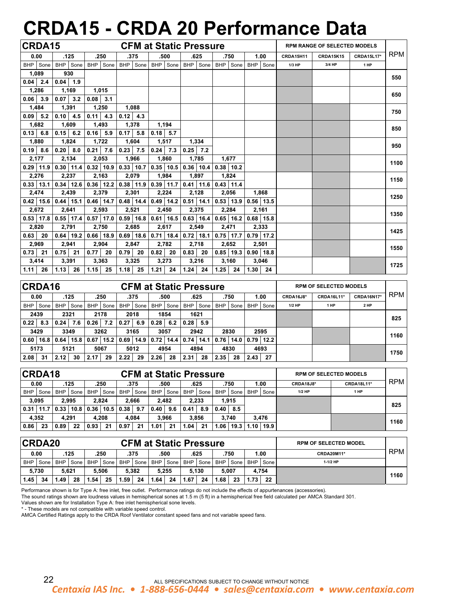# **CRDA15 - CRDA 20 Performance Data**

|                    | CRDA15      |                    |               |                    |               |             |               |      |               |      | <b>CFM at Static Pressure</b>                                         |            |               |                   |               |           | <b>RPM RANGE OF SELECTED MODELS</b> |                   |            |
|--------------------|-------------|--------------------|---------------|--------------------|---------------|-------------|---------------|------|---------------|------|-----------------------------------------------------------------------|------------|---------------|-------------------|---------------|-----------|-------------------------------------|-------------------|------------|
| 0.00               |             |                    | .125          |                    | .250          |             | .375          |      | .500          |      | .625                                                                  |            | .750          |                   | 1.00          | CRDA15H11 | <b>CRDA15K15</b>                    | <b>CRDA15L17*</b> | <b>RPM</b> |
|                    | BHP Sone    |                    | BHP Sone      |                    | BHP Sone      | <b>BHP</b>  | Sone          |      | BHP Sone      |      | BHP Sone                                                              | <b>BHP</b> | Sone          | BHP               | Sone          | 1/3 HP    | 3/4 HP                              | 1 HP              |            |
|                    | 1,089       |                    | 930           |                    |               |             |               |      |               |      |                                                                       |            |               |                   |               |           |                                     |                   | 550        |
| $0.04$ 2.4         |             | $0.04$ 1.9         |               |                    |               |             |               |      |               |      |                                                                       |            |               |                   |               |           |                                     |                   |            |
|                    | 1,286       |                    | 1,169         |                    | 1,015         |             |               |      |               |      |                                                                       |            |               |                   |               |           |                                     |                   | 650        |
| $0.06$ 3.9         |             | 0.07               | 3.2           | $0.08$ 3.1         |               |             |               |      |               |      |                                                                       |            |               |                   |               |           |                                     |                   |            |
|                    | 1,484       |                    | 1,391         |                    | 1,250         |             | 1.088         |      |               |      |                                                                       |            |               |                   |               |           |                                     |                   | 750        |
| $0.09$ 5.2         |             | $0.10$ 4.5         |               | $0.11 \,   \, 4.3$ |               | $0.12$ 4.3  |               |      |               |      |                                                                       |            |               |                   |               |           |                                     |                   |            |
|                    | 1,682       |                    | 1,609         |                    | 1,493         | 1,378       |               |      | 1,194         |      |                                                                       |            |               |                   |               |           |                                     |                   | 850        |
| $0.13 \,   \, 6.8$ |             | $0.15 \ 6.2$       |               | 0.16               | 5.9           | 0.17        | 5.8           |      | $0.18$ 5.7    |      |                                                                       |            |               |                   |               |           |                                     |                   |            |
|                    | 1,880       |                    | 1,824         |                    | 1,722         |             | 1,604         |      | 1,517         |      | 1,334                                                                 |            |               |                   |               |           |                                     |                   | 950        |
| $0.19$ 8.6         |             | $0.20 \,   \, 8.0$ |               |                    | $0.21$ 7.6    | $0.23$ 7.5  |               |      | $0.24$ 7.3    |      | $0.25$ 7.2                                                            |            |               |                   |               |           |                                     |                   |            |
|                    | 2,177       |                    | 2,134         |                    | 2,053         |             | 1,966         |      | 1,860         |      | 1,785                                                                 |            | 1.677         |                   |               |           |                                     |                   | 1100       |
| $0.29$ 11.9        |             |                    | $0.30$ 11.4   |                    | $0.32$ 10.9   | $0.33$ 10.7 |               |      | $0.35$   10.5 |      | $0.36$   10.4                                                         |            | $0.38$   10.2 |                   |               |           |                                     |                   |            |
|                    | 2,276       |                    | 2,237         |                    | 2,163         | 2,079       |               |      | 1,984         |      | 1,897                                                                 |            | 1,824         |                   |               |           |                                     |                   | 1150       |
| $0.33$   13.1      |             |                    | $0.34$   12.6 |                    | $0.36$   12.2 |             | $0.38$   11.9 |      | $0.39$ 11.7   |      | $0.41$ 11.6                                                           |            | $0.43$ 11.4   |                   |               |           |                                     |                   |            |
|                    | 2,474       |                    | 2,439         |                    | 2,379         | 2,301       |               |      | 2,224         |      | 2,128                                                                 |            | 2,056         |                   | 1,868         |           |                                     |                   | 1250       |
|                    | $0.42$ 15.6 |                    | $0.44$   15.1 |                    | $0.46$ 14.7   |             | $0.48$ 14.4   |      | $0.49$ 14.2   |      | $0.51$ 14.1                                                           |            | $0.53$   13.9 |                   | $0.56$   13.5 |           |                                     |                   |            |
|                    | 2,672       |                    | 2,641         |                    | 2,593         | 2,521       |               |      | 2,450         |      | 2,375                                                                 |            | 2,284         |                   | 2,161         |           |                                     |                   | 1350       |
|                    | $0.53$ 17.8 |                    | $0.55$ 17.4   |                    | $0.57$ 17.0   |             |               |      |               |      | $0.59$   16.8   0.61   16.5   0.63   16.4   0.65   16.2   0.68   15.8 |            |               |                   |               |           |                                     |                   |            |
| 2,820              |             |                    | 2,791         |                    | 2,750         | 2,685       |               |      | 2,617         |      | 2,549                                                                 |            | 2,471         |                   | 2,333         |           |                                     |                   | 1425       |
| 0.63               | 20          |                    | $0.64$   19.2 |                    | $0.66$ 18.9   |             | $0.69$ 18.6   |      | $0.71$   18.4 |      | $0.72$   18.1                                                         |            | $0.75$ 17.7   |                   | $0.79$ 17.2   |           |                                     |                   |            |
| 2,969              |             |                    | 2,941         |                    | 2,904         | 2,847       |               |      | 2,782         |      | 2,718                                                                 |            | 2,652         |                   | 2,501         |           |                                     |                   | 1550       |
| $0.73$ 21          |             | 0.75               | 21            | 0.77               | -20           | 0.79        | 20            | 0.82 | 20            | 0.83 | 20                                                                    |            | $0.85$ 19.3   |                   | $0.90$ 18.8   |           |                                     |                   |            |
|                    | 3,414       |                    | 3,391         |                    | 3,363         | 3,325       |               |      | 3,273         |      | 3,216                                                                 |            | 3,160         |                   | 3,046         |           |                                     |                   | 1725       |
| $1.11$ 26          |             | $1.13$ 26          |               | $1.15$ 25          |               | $1.18$ 25   |               | 1.21 | 24            |      | $1.24$ 24                                                             | 1.25       | 24            | $1.30 \,   \, 24$ |               |           |                                     |                   |            |

|            | CRDA16<br><b>CFM at Static Pressure</b><br><b>RPM OF SELECTED MODELS</b> |            |      |            |      |            |      |            |      |            |      |            |      |            |      |                  |                   |                   |            |
|------------|--------------------------------------------------------------------------|------------|------|------------|------|------------|------|------------|------|------------|------|------------|------|------------|------|------------------|-------------------|-------------------|------------|
| 0.00       |                                                                          | .125       |      | .250       |      | .375       |      | .500       |      | .625       |      | .750       |      | 1.00       |      | <b>CRDA16J8*</b> | <b>CRDA16L11*</b> | <b>CRDA16N17*</b> | <b>RPM</b> |
| <b>BHP</b> | Sone                                                                     | <b>BHP</b> | Sone | <b>BHP</b> | Sone | <b>BHP</b> | Sone | <b>BHP</b> | Sone | <b>BHP</b> | Sone | <b>BHP</b> | Sone | <b>BHP</b> | Sone | $1/2$ HP         | 1 HP              | 2 HP              |            |
|            | 2439                                                                     |            | 2321 |            | 2178 |            | 2018 |            | 1854 |            | 1621 |            |      |            |      |                  |                   |                   | 825        |
| 0.22       | 8.3                                                                      | 0.24       | 7.6  | 0.26       | 7.2  | 0.27       | 6.9  | 0.28       | 6.2  | 0.28       | 5.9  |            |      |            |      |                  |                   |                   |            |
|            | 3429                                                                     |            | 3349 |            | 3262 |            | 3165 |            | 3057 |            | 2942 |            | 2830 |            | 2595 |                  |                   |                   | 1160       |
| 0.60       | 16.8                                                                     | 0.64       | 15.8 | 0.67       | 15.2 | 0.69       | 14.9 | 0.72       | 14.4 | 0.74       | 14.1 | 0.76       | 14.0 | 0.79       | 12.2 |                  |                   |                   |            |
| 5173       |                                                                          | 5121       |      | 5067       |      | 5012       |      | 4954       |      | 4894       |      | 4830       |      | 4693       |      |                  |                   |                   | 1750       |
| 2.08       | 31                                                                       | 2.12       | 30   | 2.17       | 29   | 2.22       | 29   | 2.26       | 28   | 2.31       | 28   | 2.35       | 28   | 2.43       | 27   |                  |                   |                   |            |

| <b>CRDA18</b><br><b>CFM at Static Pressure</b> |       |            |      |            |      |            |        |       |      |            |      |            | <b>RPM OF SELECTED MODELS</b> |            |      |                  |                   |            |
|------------------------------------------------|-------|------------|------|------------|------|------------|--------|-------|------|------------|------|------------|-------------------------------|------------|------|------------------|-------------------|------------|
| 0.00                                           |       | .125       |      | .250       |      | .375       |        | .500  |      | .625       |      | .750       |                               | 1.00       |      | <b>CRDA18J8*</b> | <b>CRDA18L11*</b> | <b>RPM</b> |
| <b>BHP</b>                                     | Sone  | <b>BHP</b> | Sone | <b>BHP</b> | Sone | <b>BHP</b> | Sone I | BHP   | Sone | <b>BHP</b> | Sone | <b>BHP</b> | Sone                          | <b>BHP</b> | Sone | $1/2$ HP         | 1 HP              |            |
| 3,095                                          |       | 2.995      |      | 2.824      |      | 2.666      |        | 2.482 |      | 2.233      |      | 1.915      |                               |            |      |                  |                   | 825        |
| 0.31                                           | 11.7  | 0.33       | 10.8 | 0.36       | 10.5 | 0.38       | 9.7    | 0.40  | 9.6  | 0.41       | 8.9  | 0.40       | 8.5                           |            |      |                  |                   |            |
|                                                | 4,352 | 4.291      |      | 4.208      |      | 4.084      |        | 3.966 |      | 3.856      |      | 3.740      |                               | 3.476      |      |                  |                   |            |
| 0.86                                           | 23    | 0.89       | 22   | 0.93       | 21   | 0.97       | 21     | 1.01  | 21   | 1.04       | 21   | 1.06       | 19.3                          | 1.10       | 19.9 |                  |                   | 1160       |

|            | <b>CRDA20</b> |      |          |            |        |      |        |      |          |            | <b>CFM at Static Pressure</b> |            | <b>RPM OF SELECTED MODEL</b> |      |        |                   |      |
|------------|---------------|------|----------|------------|--------|------|--------|------|----------|------------|-------------------------------|------------|------------------------------|------|--------|-------------------|------|
| 0.00       |               | .125 |          | .250       |        | .375 |        | .500 |          | .625       |                               | .750       |                              | 1.00 |        | <b>CRDA20M11*</b> | RPM  |
| <b>BHP</b> | Sone          |      | BHP Sone | <b>BHP</b> | Sone I | BHP  | I Sone |      | BHP Sone | <b>BHP</b> | Sone                          | <b>BHP</b> | Sone                         | BHP  | Sone I | $1-1/2$ HP        |      |
|            | 5,730         |      | 5.621    |            | 5.506  |      | 5.382  |      | 5.255    |            | 5.130                         | 5.007      |                              |      | 4.754  |                   | 1160 |
| 1.45       | 34            | .49  | 28       | .54        | 25     | 1.59 | 24     | 1.64 | 24       | 1.67       | 24                            | 1.68       | 23                           | 73   | 22     |                   |      |

Performance shown is for Type A: free inlet, free outlet. Performance ratings do not include the effects of appurtenances (accessories).

The sound ratings shown are loudness values in hemispherical sones at 1.5 m (5 ft) in a hemispherical free field calculated per AMCA Standard 301.

Values shown are for Installation Type A: free inlet hemispherical sone levels.

\* - These models are not compatible with variable speed control.

AMCA Certified Ratings apply to the CRDA Roof Ventilator constant speed fans and not variable speed fans.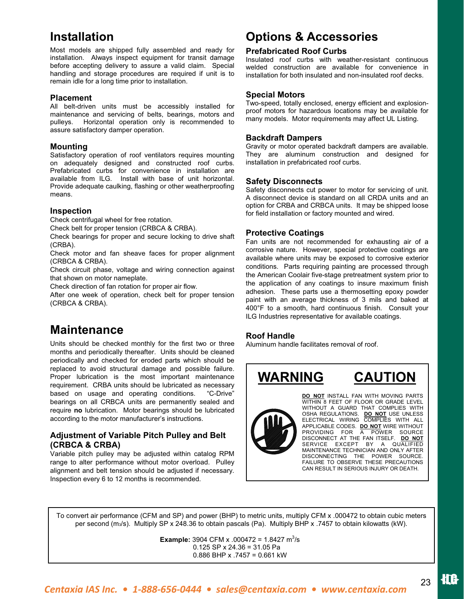## **Installation**

Most models are shipped fully assembled and ready for installation. Always inspect equipment for transit damage before accepting delivery to assure a valid claim. Special handling and storage procedures are required if unit is to remain idle for a long time prior to installation.

### **Placement**

All belt-driven units must be accessibly installed for maintenance and servicing of belts, bearings, motors and pulleys. Horizontal operation only is recommended to assure satisfactory damper operation.

### **Mounting**

Satisfactory operation of roof ventilators requires mounting on adequately designed and constructed roof curbs. Prefabricated curbs for convenience in installation are available from ILG. Install with base of unit horizontal. Provide adequate caulking, flashing or other weatherproofing means.

## **Inspection**

Check centrifugal wheel for free rotation.

Check belt for proper tension (CRBCA & CRBA).

Check bearings for proper and secure locking to drive shaft (CRBA).

Check motor and fan sheave faces for proper alignment (CRBCA & CRBA).

Check circuit phase, voltage and wiring connection against that shown on motor nameplate.

Check direction of fan rotation for proper air flow.

After one week of operation, check belt for proper tension (CRBCA & CRBA).

## **Maintenance**

Units should be checked monthly for the first two or three months and periodically thereafter. Units should be cleaned periodically and checked for eroded parts which should be replaced to avoid structural damage and possible failure. Proper lubrication is the most important maintenance requirement. CRBA units should be lubricated as necessary based on usage and operating conditions. "C-Drive" bearings on all CRBCA units are permanently sealed and require **no** lubrication. Motor bearings should be lubricated according to the motor manufacturer's instructions.

## **Adjustment of Variable Pitch Pulley and Belt (CRBCA & CRBA)**

Variable pitch pulley may be adjusted within catalog RPM range to alter performance without motor overload. Pulley alignment and belt tension should be adjusted if necessary. Inspection every 6 to 12 months is recommended.

## **Options & Accessories**

## **Prefabricated Roof Curbs**

Insulated roof curbs with weather-resistant continuous welded construction are available for convenience in installation for both insulated and non-insulated roof decks.

## **Special Motors**

Two-speed, totally enclosed, energy efficient and explosionproof motors for hazardous locations may be available for many models. Motor requirements may affect UL Listing.

## **Backdraft Dampers**

Gravity or motor operated backdraft dampers are available. They are aluminum construction and designed for installation in prefabricated roof curbs.

## **Safety Disconnects**

Safety disconnects cut power to motor for servicing of unit. A disconnect device is standard on all CRDA units and an option for CRBA and CRBCA units. It may be shipped loose for field installation or factory mounted and wired.

## **Protective Coatings**

Fan units are not recommended for exhausting air of a corrosive nature. However, special protective coatings are available where units may be exposed to corrosive exterior conditions. Parts requiring painting are processed through the American Coolair five-stage pretreatment system prior to the application of any coatings to insure maximum finish adhesion. These parts use a thermosetting epoxy powder paint with an average thickness of 3 mils and baked at 400°F to a smooth, hard continuous finish. Consult your ILG Industries representative for available coatings.

## **Roof Handle**

Aluminum handle facilitates removal of roof.





**DO NOT** INSTALL FAN WITH MOVING PARTS WITHIN 8 FEET OF FLOOR OR GRADE LEVEL WITHOUT A GUARD THAT COMPLIES WITH OSHA REGULATIONS. **DO NOT** USE UNLESS ELECTRICAL WIRING COMPLIES WITH ALL APPLICABLE CODES. **DO NOT** WIRE WITHOUT PROVIDING FOR A POWER SOURCE DISCONNECT AT THE FAN ITSELF. **DO NOT**  SERVICE EXCEPT BY A QUALIFIED MAINTENANCE TECHNICIAN AND ONLY AFTER DISCONNECTING THE POWER SOURCE. FAILURE TO OBSERVE THESE PRECAUTIONS CAN RESULT IN SERIOUS INJURY OR DEATH.

To convert air performance (CFM and SP) and power (BHP) to metric units, multiply CFM x .000472 to obtain cubic meters per second (m3/s). Multiply SP x 248.36 to obtain pascals (Pa). Multiply BHP x .7457 to obtain kilowatts (kW).

**Example:** 3904 CFM x .000472 = 1.8427  $\text{m}^3\text{/s}$  0.125 SP x 24.36 = 31.05 Pa 0.886 BHP x .7457 = 0.661 kW

23 *Centaxia IAS Inc. • 1-888-656-0444 • sales@centaxia.com • www.centaxia.com*